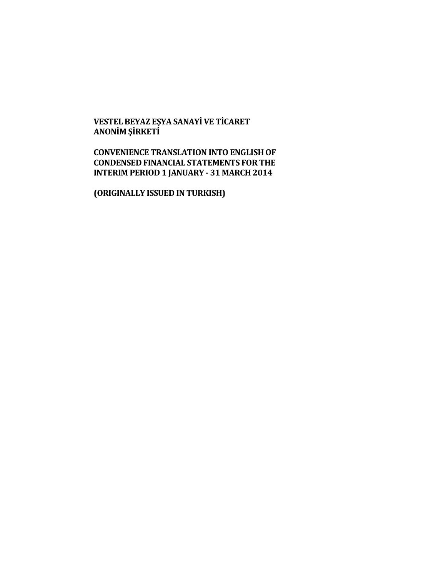# **VESTEL BEYAZ EŞYA SANAYİ VE TİCARET ANONİM ŞİRKETİ**

# **CONVENIENCE TRANSLATION INTO ENGLISH OF CONDENSED FINANCIAL STATEMENTS FOR THE INTERIM PERIOD 1 JANUARY - 31 MARCH 2014**

**(ORIGINALLY ISSUED IN TURKISH)**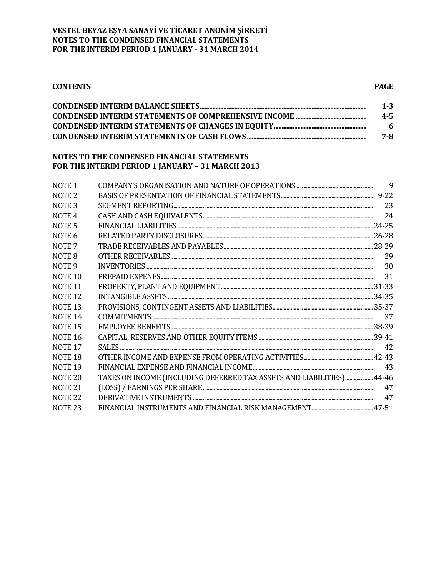# **CONTENTS**

## **PAGE**

| $1 - 3$ |
|---------|
| $4 - 5$ |
| -6      |
| 7-8     |

## NOTES TO THE CONDENSED FINANCIAL STATEMENTS FOR THE INTERIM PERIOD 1 JANUARY - 31 MARCH 2013

| NOTE <sub>2</sub><br>NOTE <sub>3</sub><br>NOTE <sub>4</sub><br>NOTE <sub>5</sub><br>NOTE 6<br>NOTE <sub>7</sub><br>NOTE 8<br>$INVENTORIES. 30$<br>NOTE <sub>9</sub><br>NOTE <sub>10</sub><br>$\textbf{PROPERTIES}, \textbf{PLANT} \textbf{ AND EQUIPMENT} \textcolor{red}{.} \textcolor{red}{\textbf{EXAMPLEN}} \textbf{T} \textcolor{red}{\textbf{1}} \textcolor{red}{\textbf{1}} \textcolor{red}{\textbf{0}} \textcolor{red}{\textbf{0}} \textcolor{red}{\textbf{1}} \textcolor{red}{\textbf{1}} \textcolor{red}{\textbf{0}} \textcolor{red}{\textbf{3}} \textcolor{red}{\textbf{1}} \textcolor{red}{\textbf{-3}} \textcolor{red}{\textbf{3}}$<br><b>NOTE 11</b><br><b>NOTE 12</b><br>NOTE <sub>13</sub><br>NOTE <sub>14</sub><br><b>NOTE 15</b><br><b>NOTE 16</b><br>NOTE <sub>17</sub><br><b>NOTE 18</b><br><b>NOTE 19</b><br>TAXES ON INCOME (INCLUDING DEFERRED TAX ASSETS AND LIABILITIES)  44-46<br>NOTE <sub>20</sub><br>NOTE <sub>21</sub><br>NOTE <sub>22</sub><br>NOTE <sub>23</sub> | NOTE <sub>1</sub> | 9  |
|--------------------------------------------------------------------------------------------------------------------------------------------------------------------------------------------------------------------------------------------------------------------------------------------------------------------------------------------------------------------------------------------------------------------------------------------------------------------------------------------------------------------------------------------------------------------------------------------------------------------------------------------------------------------------------------------------------------------------------------------------------------------------------------------------------------------------------------------------------------------------------------------------------------------------------------------------------------------------------------------------|-------------------|----|
|                                                                                                                                                                                                                                                                                                                                                                                                                                                                                                                                                                                                                                                                                                                                                                                                                                                                                                                                                                                                  |                   |    |
|                                                                                                                                                                                                                                                                                                                                                                                                                                                                                                                                                                                                                                                                                                                                                                                                                                                                                                                                                                                                  |                   | 23 |
|                                                                                                                                                                                                                                                                                                                                                                                                                                                                                                                                                                                                                                                                                                                                                                                                                                                                                                                                                                                                  |                   | 24 |
|                                                                                                                                                                                                                                                                                                                                                                                                                                                                                                                                                                                                                                                                                                                                                                                                                                                                                                                                                                                                  |                   |    |
|                                                                                                                                                                                                                                                                                                                                                                                                                                                                                                                                                                                                                                                                                                                                                                                                                                                                                                                                                                                                  |                   |    |
|                                                                                                                                                                                                                                                                                                                                                                                                                                                                                                                                                                                                                                                                                                                                                                                                                                                                                                                                                                                                  |                   |    |
|                                                                                                                                                                                                                                                                                                                                                                                                                                                                                                                                                                                                                                                                                                                                                                                                                                                                                                                                                                                                  |                   | 29 |
|                                                                                                                                                                                                                                                                                                                                                                                                                                                                                                                                                                                                                                                                                                                                                                                                                                                                                                                                                                                                  |                   |    |
|                                                                                                                                                                                                                                                                                                                                                                                                                                                                                                                                                                                                                                                                                                                                                                                                                                                                                                                                                                                                  |                   | 31 |
|                                                                                                                                                                                                                                                                                                                                                                                                                                                                                                                                                                                                                                                                                                                                                                                                                                                                                                                                                                                                  |                   |    |
|                                                                                                                                                                                                                                                                                                                                                                                                                                                                                                                                                                                                                                                                                                                                                                                                                                                                                                                                                                                                  |                   |    |
|                                                                                                                                                                                                                                                                                                                                                                                                                                                                                                                                                                                                                                                                                                                                                                                                                                                                                                                                                                                                  |                   |    |
|                                                                                                                                                                                                                                                                                                                                                                                                                                                                                                                                                                                                                                                                                                                                                                                                                                                                                                                                                                                                  |                   |    |
|                                                                                                                                                                                                                                                                                                                                                                                                                                                                                                                                                                                                                                                                                                                                                                                                                                                                                                                                                                                                  |                   |    |
|                                                                                                                                                                                                                                                                                                                                                                                                                                                                                                                                                                                                                                                                                                                                                                                                                                                                                                                                                                                                  |                   |    |
|                                                                                                                                                                                                                                                                                                                                                                                                                                                                                                                                                                                                                                                                                                                                                                                                                                                                                                                                                                                                  |                   |    |
|                                                                                                                                                                                                                                                                                                                                                                                                                                                                                                                                                                                                                                                                                                                                                                                                                                                                                                                                                                                                  |                   |    |
|                                                                                                                                                                                                                                                                                                                                                                                                                                                                                                                                                                                                                                                                                                                                                                                                                                                                                                                                                                                                  |                   |    |
|                                                                                                                                                                                                                                                                                                                                                                                                                                                                                                                                                                                                                                                                                                                                                                                                                                                                                                                                                                                                  |                   |    |
|                                                                                                                                                                                                                                                                                                                                                                                                                                                                                                                                                                                                                                                                                                                                                                                                                                                                                                                                                                                                  |                   |    |
|                                                                                                                                                                                                                                                                                                                                                                                                                                                                                                                                                                                                                                                                                                                                                                                                                                                                                                                                                                                                  |                   |    |
|                                                                                                                                                                                                                                                                                                                                                                                                                                                                                                                                                                                                                                                                                                                                                                                                                                                                                                                                                                                                  |                   |    |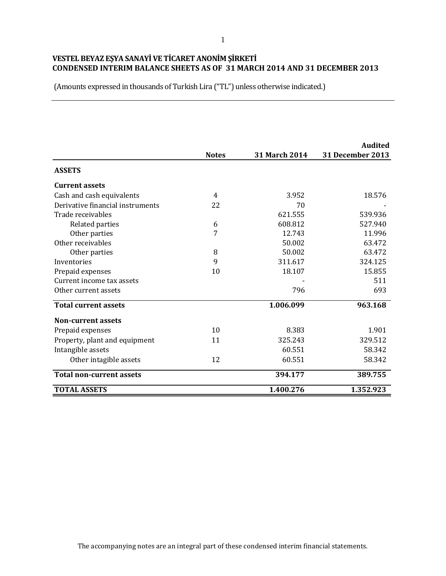### 1

## **VESTEL BEYAZ EŞYA SANAYİ VE TİCARET ANONİM ŞİRKETİ CONDENSED INTERIM BALANCE SHEETS AS OF 31 MARCH 2014 AND 31 DECEMBER 2013**

(Amounts expressed in thousands of Turkish Lira ("TL") unless otherwise indicated.)

|                                  |              |               | <b>Audited</b>          |
|----------------------------------|--------------|---------------|-------------------------|
|                                  | <b>Notes</b> | 31 March 2014 | <b>31 December 2013</b> |
| <b>ASSETS</b>                    |              |               |                         |
| <b>Current assets</b>            |              |               |                         |
| Cash and cash equivalents        | 4            | 3.952         | 18.576                  |
| Derivative financial instruments | 22           | 70            |                         |
| Trade receivables                |              | 621.555       | 539.936                 |
| Related parties                  | 6            | 608.812       | 527.940                 |
| Other parties                    | 7            | 12.743        | 11.996                  |
| Other receivables                |              | 50.002        | 63.472                  |
| Other parties                    | 8            | 50.002        | 63.472                  |
| Inventories                      | 9            | 311.617       | 324.125                 |
| Prepaid expenses                 | 10           | 18.107        | 15.855                  |
| Current income tax assets        |              |               | 511                     |
| Other current assets             |              | 796           | 693                     |
| <b>Total current assets</b>      |              | 1.006.099     | 963.168                 |
| <b>Non-current assets</b>        |              |               |                         |
| Prepaid expenses                 | 10           | 8.383         | 1.901                   |
| Property, plant and equipment    | 11           | 325.243       | 329.512                 |
| Intangible assets                |              | 60.551        | 58.342                  |
| Other intagible assets           | 12           | 60.551        | 58.342                  |
| <b>Total non-current assets</b>  |              | 394.177       | 389.755                 |
| <b>TOTAL ASSETS</b>              |              | 1.400.276     | 1.352.923               |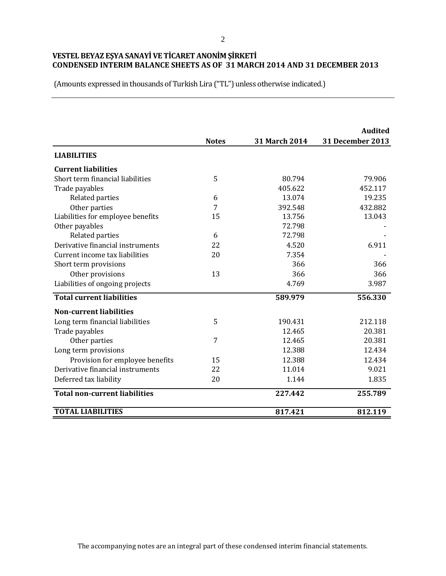# **VESTEL BEYAZ EŞYA SANAYİ VE TİCARET ANONİM ŞİRKETİ CONDENSED INTERIM BALANCE SHEETS AS OF 31 MARCH 2014 AND 31 DECEMBER 2013**

(Amounts expressed in thousands of Turkish Lira ("TL") unless otherwise indicated.)

|                                      | <b>Notes</b> | 31 March 2014 | <b>Audited</b><br><b>31 December 2013</b> |
|--------------------------------------|--------------|---------------|-------------------------------------------|
| <b>LIABILITIES</b>                   |              |               |                                           |
|                                      |              |               |                                           |
| <b>Current liabilities</b>           |              |               |                                           |
| Short term financial liabilities     | 5            | 80.794        | 79.906                                    |
| Trade payables                       |              | 405.622       | 452.117                                   |
| Related parties                      | 6            | 13.074        | 19.235                                    |
| Other parties                        | 7            | 392.548       | 432.882                                   |
| Liabilities for employee benefits    | 15           | 13.756        | 13.043                                    |
| Other payables                       |              | 72.798        |                                           |
| Related parties                      | 6            | 72.798        |                                           |
| Derivative financial instruments     | 22           | 4.520         | 6.911                                     |
| Current income tax liabilities       | 20           | 7.354         |                                           |
| Short term provisions                |              | 366           | 366                                       |
| Other provisions                     | 13           | 366           | 366                                       |
| Liabilities of ongoing projects      |              | 4.769         | 3.987                                     |
| <b>Total current liabilities</b>     |              | 589.979       | 556.330                                   |
| <b>Non-current liabilities</b>       |              |               |                                           |
| Long term financial liabilities      | 5            | 190.431       | 212.118                                   |
| Trade payables                       |              | 12.465        | 20.381                                    |
| Other parties                        | 7            | 12.465        | 20.381                                    |
| Long term provisions                 |              | 12.388        | 12.434                                    |
| Provision for employee benefits      | 15           | 12.388        | 12.434                                    |
| Derivative financial instruments     | 22           | 11.014        | 9.021                                     |
| Deferred tax liability               | 20           | 1.144         | 1.835                                     |
| <b>Total non-current liabilities</b> |              | 227.442       | 255.789                                   |
| <b>TOTAL LIABILITIES</b>             |              | 817.421       | 812.119                                   |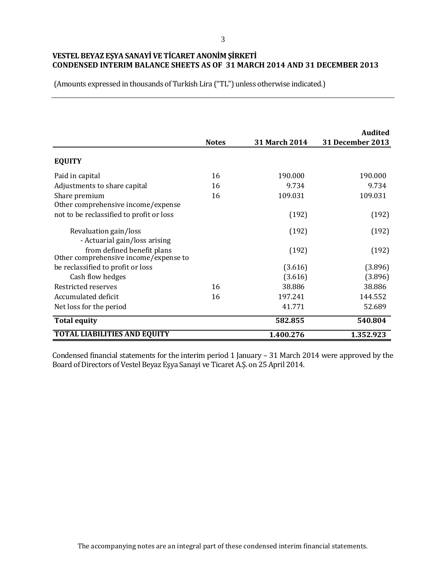## **VESTEL BEYAZ EŞYA SANAYİ VE TİCARET ANONİM ŞİRKETİ CONDENSED INTERIM BALANCE SHEETS AS OF 31 MARCH 2014 AND 31 DECEMBER 2013**

(Amounts expressed in thousands of Turkish Lira ("TL") unless otherwise indicated.)

|                                                                     | <b>Notes</b> | <b>31 March 2014</b> | Audited<br><b>31 December 2013</b> |
|---------------------------------------------------------------------|--------------|----------------------|------------------------------------|
| <b>EQUITY</b>                                                       |              |                      |                                    |
| Paid in capital                                                     | 16           | 190.000              | 190.000                            |
| Adjustments to share capital                                        | 16           | 9.734                | 9.734                              |
| Share premium                                                       | 16           | 109.031              | 109.031                            |
| Other comprehensive income/expense                                  |              |                      |                                    |
| not to be reclassified to profit or loss                            |              | (192)                | (192)                              |
| Revaluation gain/loss<br>- Actuarial gain/loss arising              |              | (192)                | (192)                              |
| from defined benefit plans<br>Other comprehensive income/expense to |              | (192)                | (192)                              |
| be reclassified to profit or loss                                   |              | (3.616)              | (3.896)                            |
| Cash flow hedges                                                    |              | (3.616)              | (3.896)                            |
| Restricted reserves                                                 | 16           | 38.886               | 38.886                             |
| Accumulated deficit                                                 | 16           | 197.241              | 144.552                            |
| Net loss for the period                                             |              | 41.771               | 52.689                             |
| <b>Total equity</b>                                                 |              | 582.855              | 540.804                            |
| <b>TOTAL LIABILITIES AND EQUITY</b>                                 |              | 1.400.276            | 1.352.923                          |

Condensed financial statements for the interim period 1 January – 31 March 2014 were approved by the Board of Directors of Vestel Beyaz Eşya Sanayi ve Ticaret A.Ş. on 25 April 2014.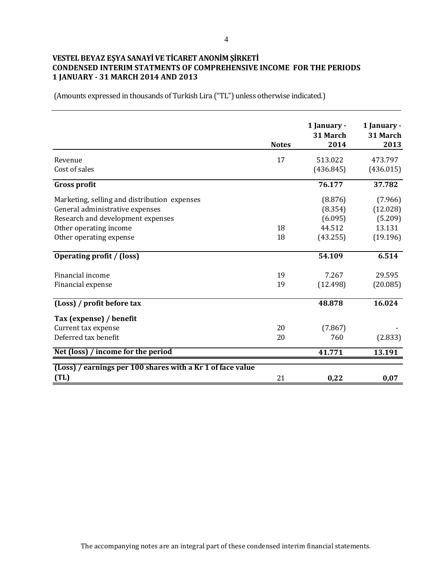## **VESTEL BEYAZ EŞYA SANAYİ VE TİCARET ANONİM ŞİRKETİ CONDENSED INTERIM STATMENTS OF COMPREHENSIVE INCOME FOR THE PERIODS 1 JANUARY - 31 MARCH 2014 AND 2013**

(Amounts expressed in thousands of Turkish Lira ("TL") unless otherwise indicated.)

|                                                            | <b>Notes</b> | 1 January -<br>31 March<br>2014 | 1 January -<br>31 March<br>2013 |
|------------------------------------------------------------|--------------|---------------------------------|---------------------------------|
| Revenue                                                    | 17           | 513.022                         | 473.797                         |
| Cost of sales                                              |              | (436.845)                       | (436.015)                       |
| <b>Gross profit</b>                                        |              | 76.177                          | 37.782                          |
| Marketing, selling and distribution expenses               |              | (8.876)                         | (7.966)                         |
| General administrative expenses                            |              | (8.354)                         | (12.028)                        |
| Research and development expenses                          |              | (6.095)                         | (5.209)                         |
| Other operating income                                     | 18           | 44.512                          | 13.131                          |
| Other operating expense                                    | 18           | (43.255)                        | (19.196)                        |
| Operating profit / (loss)                                  |              | 54.109                          | 6.514                           |
| Financial income                                           | 19           | 7.267                           | 29.595                          |
| Financial expense                                          | 19           | (12.498)                        | (20.085)                        |
| (Loss) / profit before tax                                 |              | 48.878                          | 16.024                          |
| Tax (expense) / benefit                                    |              |                                 |                                 |
| Current tax expense                                        | 20           | (7.867)                         |                                 |
| Deferred tax benefit                                       | 20           | 760                             | (2.833)                         |
| Net (loss) / income for the period                         |              | 41.771                          | 13.191                          |
| (Loss) / earnings per 100 shares with a Kr 1 of face value |              |                                 |                                 |
| (TL)                                                       | 21           | 0,22                            | 0,07                            |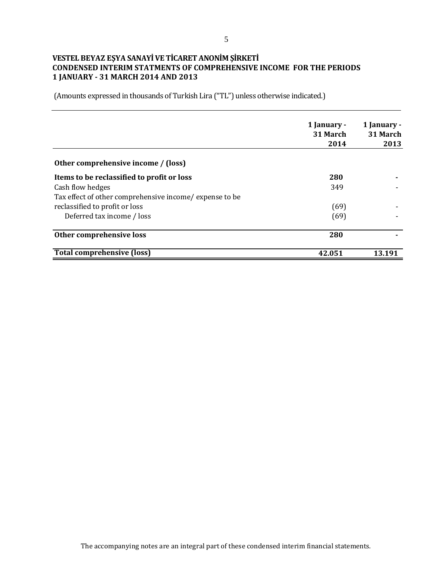## **VESTEL BEYAZ EŞYA SANAYİ VE TİCARET ANONİM ŞİRKETİ CONDENSED INTERIM STATMENTS OF COMPREHENSIVE INCOME FOR THE PERIODS 1 JANUARY - 31 MARCH 2014 AND 2013**

(Amounts expressed in thousands of Turkish Lira ("TL") unless otherwise indicated.)

|                                                        | 1 January -<br>31 March<br>2014 | 1 January -<br>31 March<br>2013 |
|--------------------------------------------------------|---------------------------------|---------------------------------|
| Other comprehensive income / (loss)                    |                                 |                                 |
| Items to be reclassified to profit or loss             | 280                             |                                 |
| Cash flow hedges                                       | 349                             |                                 |
| Tax effect of other comprehensive income/expense to be |                                 |                                 |
| reclassified to profit or loss                         | (69)                            |                                 |
| Deferred tax income / loss                             | (69)                            |                                 |
| Other comprehensive loss                               | 280                             |                                 |
| <b>Total comprehensive (loss)</b>                      | 42.051                          | 13.191                          |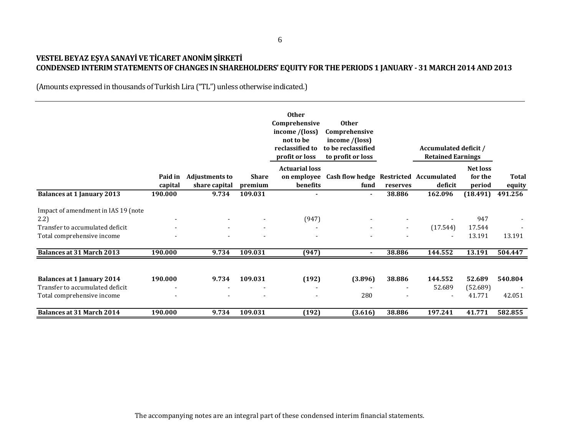# **VESTEL BEYAZ EŞYA SANAYİ VE TİCARET ANONİM ŞİRKETİ CONDENSED INTERIM STATEMENTS OF CHANGES IN SHAREHOLDERS' EQUITY FOR THE PERIODS 1 JANUARY - 31 MARCH 2014 AND 2013**

(Amounts expressed in thousands of Turkish Lira ("TL") unless otherwise indicated.)

|                                                                                                              |                    |                                        |                         | <b>Other</b><br>Comprehensive<br>income /(loss)<br>not to be<br>reclassified to<br>profit or loss | <b>Other</b><br>Comprehensive<br>income $/(loss)$<br>to be reclassified<br>to profit or loss |                                    | Accumulated deficit /<br><b>Retained Earnings</b> |                                      |                        |
|--------------------------------------------------------------------------------------------------------------|--------------------|----------------------------------------|-------------------------|---------------------------------------------------------------------------------------------------|----------------------------------------------------------------------------------------------|------------------------------------|---------------------------------------------------|--------------------------------------|------------------------|
|                                                                                                              | Paid in<br>capital | <b>Adjustments to</b><br>share capital | <b>Share</b><br>premium | <b>Actuarial loss</b><br>on employee<br>benefits                                                  | Cash flow hedge Restricted Accumulated<br>fund                                               | reserves                           | deficit                                           | <b>Net loss</b><br>for the<br>period | <b>Total</b><br>equity |
| <b>Balances at 1 January 2013</b>                                                                            | 190.000            | 9.734                                  | 109.031                 | $\blacksquare$                                                                                    | $\sim$                                                                                       | 38.886                             | 162.096                                           | (18.491)                             | 491.256                |
| Impact of amendment in IAS 19 (note<br>2.2)<br>Transfer to accumulated deficit<br>Total comprehensive income |                    |                                        |                         | (947)                                                                                             |                                                                                              | $\overline{\phantom{a}}$           | (17.544)<br>$\overline{a}$                        | 947<br>17.544<br>13.191              | 13.191                 |
| <b>Balances at 31 March 2013</b>                                                                             | 190.000            | 9.734                                  | 109.031                 | (947)                                                                                             |                                                                                              | 38.886                             | 144.552                                           | 13.191                               | 504.447                |
| <b>Balances at 1 January 2014</b><br>Transfer to accumulated deficit<br>Total comprehensive income           | 190.000            | 9.734                                  | 109.031                 | (192)                                                                                             | (3.896)<br>280                                                                               | 38.886<br>$\overline{\phantom{a}}$ | 144.552<br>52.689<br>$\overline{a}$               | 52.689<br>(52.689)<br>41.771         | 540.804<br>42.051      |
| <b>Balances at 31 March 2014</b>                                                                             | 190.000            | 9.734                                  | 109.031                 | (192)                                                                                             | (3.616)                                                                                      | 38.886                             | 197.241                                           | 41.771                               | 582.855                |

The accompanying notes are an integral part of these condensed interim financial statements.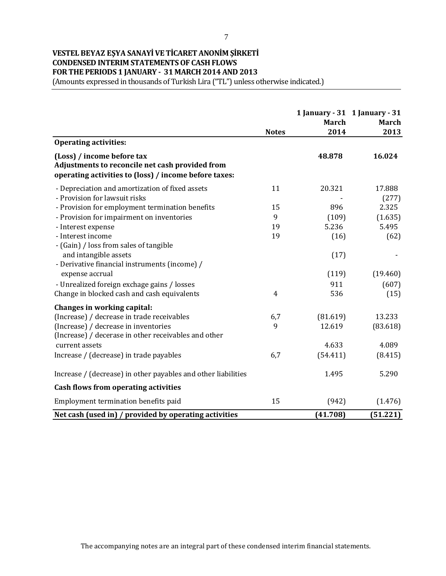## **VESTEL BEYAZ EŞYA SANAYİ VE TİCARET ANONİM ŞİRKETİ CONDENSED INTERIM STATEMENTS OF CASH FLOWS FOR THE PERIODS 1 JANUARY - 31 MARCH 2014 AND 2013**

(Amounts expressed in thousands of Turkish Lira ("TL") unless otherwise indicated.)

|                                                                                                                                        |                | <b>March</b> | 1 January - 31 1 January - 31<br><b>March</b> |
|----------------------------------------------------------------------------------------------------------------------------------------|----------------|--------------|-----------------------------------------------|
| <b>Operating activities:</b>                                                                                                           | <b>Notes</b>   | 2014         | 2013                                          |
| (Loss) / income before tax<br>Adjustments to reconcile net cash provided from<br>operating activities to (loss) / income before taxes: |                | 48.878       | 16.024                                        |
| - Depreciation and amortization of fixed assets<br>- Provision for lawsuit risks                                                       | 11             | 20.321       | 17.888<br>(277)                               |
| - Provision for employment termination benefits                                                                                        | 15             | 896          | 2.325                                         |
| - Provision for impairment on inventories                                                                                              | 9              | (109)        | (1.635)                                       |
| - Interest expense                                                                                                                     | 19             | 5.236        | 5.495                                         |
| - Interest income                                                                                                                      | 19             | (16)         | (62)                                          |
| - (Gain) / loss from sales of tangible<br>and intangible assets                                                                        |                | (17)         |                                               |
| - Derivative financial instruments (income) /<br>expense accrual                                                                       |                | (119)        | (19.460)                                      |
| - Unrealized foreign exchage gains / losses                                                                                            |                | 911          | (607)                                         |
| Change in blocked cash and cash equivalents                                                                                            | $\overline{4}$ | 536          | (15)                                          |
| Changes in working capital:                                                                                                            |                |              |                                               |
| (Increase) / decrease in trade receivables                                                                                             | 6,7            | (81.619)     | 13.233                                        |
| (Increase) / decrease in inventories                                                                                                   | 9              | 12.619       | (83.618)                                      |
| (Increase) / decerase in other receivables and other                                                                                   |                |              |                                               |
| current assets                                                                                                                         |                | 4.633        | 4.089                                         |
| Increase / (decrease) in trade payables                                                                                                | 6,7            | (54.411)     | (8.415)                                       |
| Increase / (decrease) in other payables and other liabilities                                                                          |                | 1.495        | 5.290                                         |
| Cash flows from operating activities                                                                                                   |                |              |                                               |
| Employment termination benefits paid                                                                                                   | 15             | (942)        | (1.476)                                       |
| Net cash (used in) / provided by operating activities                                                                                  |                | (41.708)     | (51.221)                                      |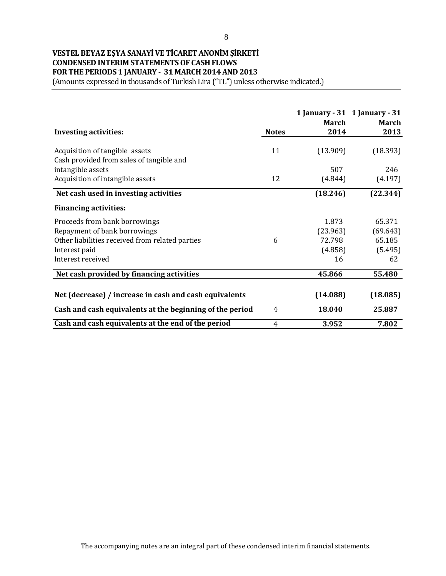## **VESTEL BEYAZ EŞYA SANAYİ VE TİCARET ANONİM ŞİRKETİ CONDENSED INTERIM STATEMENTS OF CASH FLOWS FOR THE PERIODS 1 JANUARY - 31 MARCH 2014 AND 2013**

(Amounts expressed in thousands of Turkish Lira ("TL") unless otherwise indicated.)

|                                                          |                |          | 1 January - 31 1 January - 31 |
|----------------------------------------------------------|----------------|----------|-------------------------------|
|                                                          |                | March    | March                         |
| <b>Investing activities:</b>                             | <b>Notes</b>   | 2014     | 2013                          |
| Acquisition of tangible assets                           | 11             | (13.909) | (18.393)                      |
| Cash provided from sales of tangible and                 |                |          |                               |
| intangible assets                                        |                | 507      | 246                           |
| Acquisition of intangible assets                         | 12             | (4.844)  | (4.197)                       |
| Net cash used in investing activities                    |                | (18.246) | (22.344)                      |
| <b>Financing activities:</b>                             |                |          |                               |
| Proceeds from bank borrowings                            |                | 1.873    | 65.371                        |
| Repayment of bank borrowings                             |                | (23.963) | (69.643)                      |
| Other liabilities received from related parties          | 6              | 72.798   | 65.185                        |
| Interest paid                                            |                | (4.858)  | (5.495)                       |
| Interest received                                        |                | 16       | 62                            |
| Net cash provided by financing activities                |                | 45.866   | 55.480                        |
|                                                          |                |          |                               |
| Net (decrease) / increase in cash and cash equivalents   |                | (14.088) | (18.085)                      |
| Cash and cash equivalents at the beginning of the period | 4              | 18.040   | 25.887                        |
| Cash and cash equivalents at the end of the period       | $\overline{4}$ | 3.952    | 7.802                         |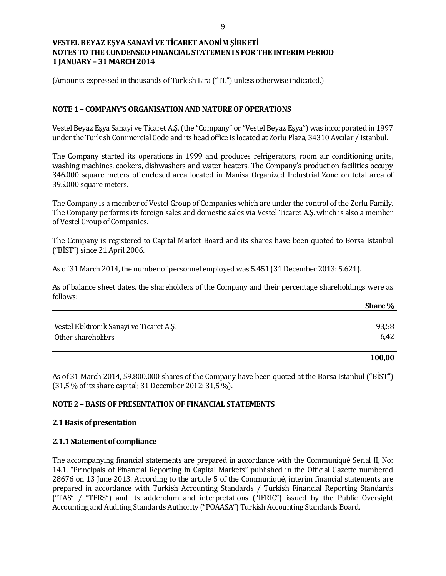(Amounts expressed in thousands of Turkish Lira ("TL") unless otherwise indicated.)

#### **NOTE 1 – COMPANY'S ORGANISATION AND NATURE OF OPERATIONS**

Vestel Beyaz Eşya Sanayi ve Ticaret A.Ş. (the "Company" or "Vestel Beyaz Eşya") was incorporated in 1997 under the Turkish Commercial Code and its head office is located at Zorlu Plaza, 34310 Avcılar / Istanbul.

The Company started its operations in 1999 and produces refrigerators, room air conditioning units, washing machines, cookers, dishwashers and water heaters. The Company's production facilities occupy 346.000 square meters of enclosed area located in Manisa Organized Industrial Zone on total area of 395.000 square meters.

The Company is a member of Vestel Group of Companies which are under the control of the Zorlu Family. The Company performs its foreign sales and domestic sales via Vestel Ticaret A.Ş. which is also a member of Vestel Group of Companies.

The Company is registered to Capital Market Board and its shares have been quoted to Borsa Istanbul ("BİST") since 21 April 2006.

As of 31 March 2014, the number of personnel employed was 5.451 (31December 2013: 5.621).

As of balance sheet dates, the shareholders of the Company and their percentage shareholdings were as follows:

|                                          | Share % |
|------------------------------------------|---------|
|                                          |         |
| Vestel Elektronik Sanayi ve Ticaret A.Ş. | 93,58   |
| Other shareholders                       | 6.42    |
|                                          |         |

#### **100,00**

As of 31 March 2014, 59.800.000 shares of the Company have been quoted at the Borsa Istanbul ("BİST") (31,5 % of its share capital; 31 December 2012: 31,5 %).

#### **NOTE 2 – BASIS OF PRESENTATION OF FINANCIAL STATEMENTS**

#### **2.1 Basis of presentation**

#### **2.1.1 Statement of compliance**

The accompanying financial statements are prepared in accordance with the Communiqué Serial II, No: 14.1, "Principals of Financial Reporting in Capital Markets" published in the Official Gazette numbered 28676 on 13 June 2013. According to the article 5 of the Communiqué, interim financial statements are prepared in accordance with Turkish Accounting Standards / Turkish Financial Reporting Standards ("TAS" / "TFRS") and its addendum and interpretations ("IFRIC") issued by the Public Oversight Accounting and Auditing Standards Authority ("POAASA") Turkish Accounting Standards Board.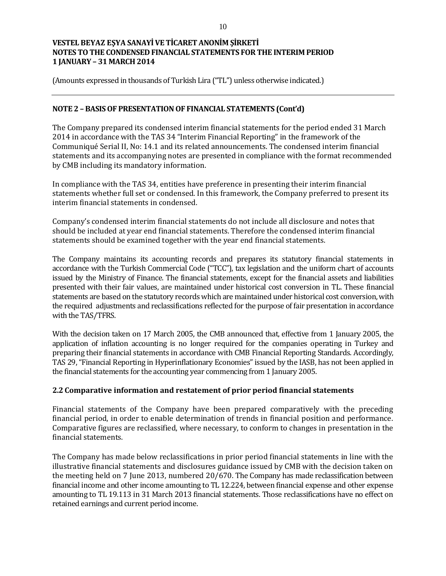(Amounts expressed in thousands of Turkish Lira ("TL") unless otherwise indicated.)

## **NOTE 2 – BASIS OF PRESENTATION OF FINANCIAL STATEMENTS (Cont'd)**

The Company prepared its condensed interim financial statements for the period ended 31 March 2014 in accordance with the TAS 34 "Interim Financial Reporting" in the framework of the Communiqué Serial II, No: 14.1 and its related announcements. The condensed interim financial statements and its accompanying notes are presented in compliance with the format recommended by CMB including its mandatory information.

In compliance with the TAS 34, entities have preference in presenting their interim financial statements whether full set or condensed. In this framework, the Company preferred to present its interim financial statements in condensed.

Company's condensed interim financial statements do not include all disclosure and notes that should be included at year end financial statements. Therefore the condensed interim financial statements should be examined together with the year end financial statements.

The Company maintains its accounting records and prepares its statutory financial statements in accordance with the Turkish Commercial Code ("TCC"), tax legislation and the uniform chart of accounts issued by the Ministry of Finance. The financial statements, except for the financial assets and liabilities presented with their fair values, are maintained under historical cost conversion in TL. These financial statements are based on the statutory records which are maintained under historical cost conversion, with the required adjustments and reclassifications reflected for the purpose of fair presentation in accordance with the TAS/TFRS.

With the decision taken on 17 March 2005, the CMB announced that, effective from 1 January 2005, the application of inflation accounting is no longer required for the companies operating in Turkey and preparing their financial statements in accordance with CMB Financial Reporting Standards. Accordingly, TAS 29, "Financial Reporting in Hyperinflationary Economies" issued by the IASB, has not been applied in the financial statements for the accounting year commencing from 1 January 2005.

## **2.2 Comparative information and restatement of prior period financial statements**

Financial statements of the Company have been prepared comparatively with the preceding financial period, in order to enable determination of trends in financial position and performance. Comparative figures are reclassified, where necessary, to conform to changes in presentation in the financial statements.

The Company has made below reclassifications in prior period financial statements in line with the illustrative financial statements and disclosures guidance issued by CMB with the decision taken on the meeting held on 7 June 2013, numbered 20/670. The Company has made reclassification between financial income and other income amounting to TL 12.224, between financial expense and other expense amounting to TL 19.113 in 31 March 2013 financial statements. Those reclassifications have no effect on retained earnings and current period income.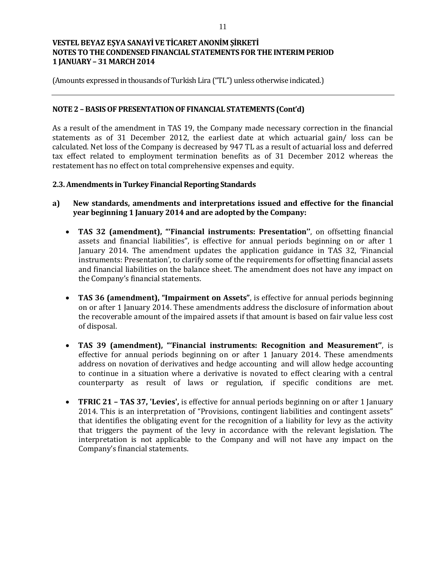(Amounts expressed in thousands of Turkish Lira ("TL") unless otherwise indicated.)

### **NOTE 2 – BASIS OF PRESENTATION OF FINANCIAL STATEMENTS (Cont'd)**

As a result of the amendment in TAS 19, the Company made necessary correction in the financial statements as of 31 December 2012, the earliest date at which actuarial gain/ loss can be calculated. Net loss of the Company is decreased by 947 TL as a result of actuarial loss and deferred tax effect related to employment termination benefits as of 31 December 2012 whereas the restatement has no effect on total comprehensive expenses and equity.

#### **2.3. Amendments in Turkey Financial Reporting Standards**

- **a) New standards, amendments and interpretations issued and effective for the financial year beginning 1 January 2014 and are adopted by the Company:**
	- **TAS 32 (amendment), "'Financial instruments: Presentation''**, on offsetting financial assets and financial liabilities", is effective for annual periods beginning on or after 1 January 2014. The amendment updates the application guidance in TAS 32, 'Financial instruments: Presentation', to clarify some of the requirements for offsetting financial assets and financial liabilities on the balance sheet. The amendment does not have any impact on the Company's financial statements.
	- **TAS 36 (amendment), "Impairment on Assets"**, is effective for annual periods beginning on or after 1 January 2014. These amendments address the disclosure of information about the recoverable amount of the impaired assets if that amount is based on fair value less cost of disposal.
	- **TAS 39 (amendment), "'Financial instruments: Recognition and Measurement''**, is effective for annual periods beginning on or after 1 January 2014. These amendments address on novation of derivatives and hedge accounting and will allow hedge accounting to continue in a situation where a derivative is novated to effect clearing with a central counterparty as result of laws or regulation, if specific conditions are met.
	- **TFRIC 21 – TAS 37, 'Levies',** is effective for annual periods beginning on or after 1 January 2014. This is an interpretation of "Provisions, contingent liabilities and contingent assets" that identifies the obligating event for the recognition of a liability for levy as the activity that triggers the payment of the levy in accordance with the relevant legislation. The interpretation is not applicable to the Company and will not have any impact on the Company's financial statements.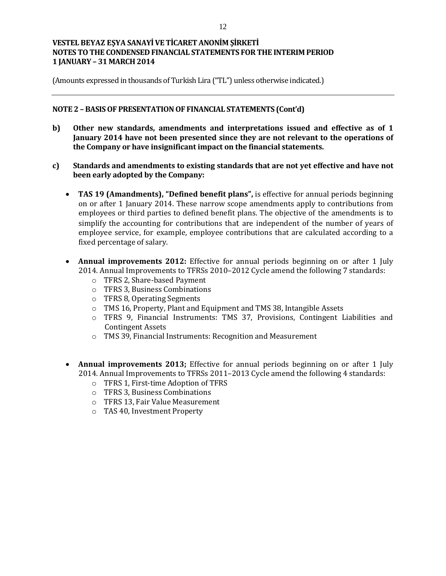(Amounts expressed in thousands of Turkish Lira ("TL") unless otherwise indicated.)

## **NOTE 2 – BASIS OF PRESENTATION OF FINANCIAL STATEMENTS (Cont'd)**

- **b) Other new standards, amendments and interpretations issued and effective as of 1 January 2014 have not been presented since they are not relevant to the operations of the Company or have insignificant impact on the financial statements.**
- **c) Standards and amendments to existing standards that are not yet effective and have not been early adopted by the Company:**
	- **TAS 19 (Amandments), "Defined benefit plans",** is effective for annual periods beginning on or after 1 January 2014. These narrow scope amendments apply to contributions from employees or third parties to defined benefit plans. The objective of the amendments is to simplify the accounting for contributions that are independent of the number of years of employee service, for example, employee contributions that are calculated according to a fixed percentage of salary.
	- **Annual improvements 2012:** Effective for annual periods beginning on or after 1 July 2014. Annual Improvements to TFRSs 2010–2012 Cycle amend the following 7 standards:
		- o TFRS 2, Share-based Payment
		- o TFRS 3, Business Combinations
		- o TFRS 8, Operating Segments
		- o TMS 16, Property, Plant and Equipment and TMS 38, Intangible Assets
		- o TFRS 9, Financial Instruments: TMS 37, Provisions, Contingent Liabilities and Contingent Assets
		- o TMS 39, Financial Instruments: Recognition and Measurement
	- **Annual improvements 2013;** Effective for annual periods beginning on or after 1 July 2014. Annual Improvements to TFRSs 2011–2013 Cycle amend the following 4 standards:
		- o TFRS 1, First-time Adoption of TFRS
		- o TFRS 3, Business Combinations
		- o TFRS 13, Fair Value Measurement
		- o TAS 40, Investment Property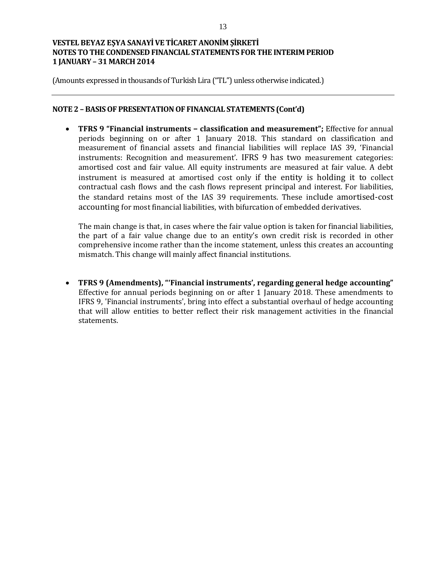(Amounts expressed in thousands of Turkish Lira ("TL") unless otherwise indicated.)

#### **NOTE 2 – BASIS OF PRESENTATION OF FINANCIAL STATEMENTS (Cont'd)**

 **TFRS 9 "Financial instruments – classification and measurement";** Effective for annual periods beginning on or after 1 January 2018. This standard on classification and measurement of financial assets and financial liabilities will replace IAS 39, 'Financial instruments: Recognition and measurement'. IFRS 9 has two measurement categories: amortised cost and fair value. All equity instruments are measured at fair value. A debt instrument is measured at amortised cost only if the entity is holding it to collect contractual cash flows and the cash flows represent principal and interest. For liabilities, the standard retains most of the IAS 39 requirements. These include amortised-cost accounting for most financial liabilities, with bifurcation of embedded derivatives.

The main change is that, in cases where the fair value option is taken for financial liabilities, the part of a fair value change due to an entity's own credit risk is recorded in other comprehensive income rather than the income statement, unless this creates an accounting mismatch. This change will mainly affect financial institutions.

 **TFRS 9 (Amendments), "'Financial instruments', regarding general hedge accounting"**  Effective for annual periods beginning on or after 1 January 2018. These amendments to IFRS 9, 'Financial instruments', bring into effect a substantial overhaul of hedge accounting that will allow entities to better reflect their risk management activities in the financial statements.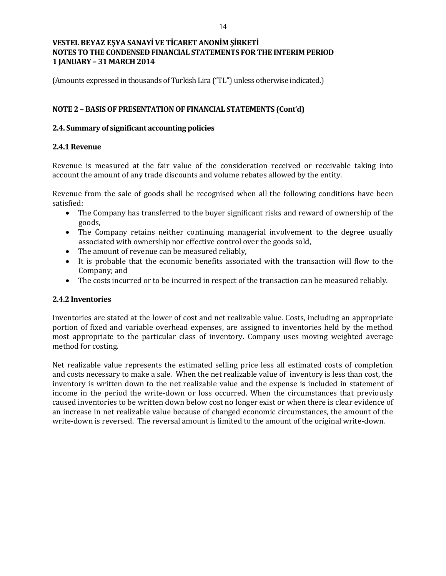(Amounts expressed in thousands of Turkish Lira ("TL") unless otherwise indicated.)

## **NOTE 2 – BASIS OF PRESENTATION OF FINANCIAL STATEMENTS (Cont'd)**

### **2.4. Summary of significant accounting policies**

## **2.4.1 Revenue**

Revenue is measured at the fair value of the consideration received or receivable taking into account the amount of any trade discounts and volume rebates allowed by the entity.

Revenue from the sale of goods shall be recognised when all the following conditions have been satisfied:

- The Company has transferred to the buyer significant risks and reward of ownership of the goods,
- The Company retains neither continuing managerial involvement to the degree usually associated with ownership nor effective control over the goods sold,
- The amount of revenue can be measured reliably,
- It is probable that the economic benefits associated with the transaction will flow to the Company; and
- The costs incurred or to be incurred in respect of the transaction can be measured reliably.

#### **2.4.2 Inventories**

Inventories are stated at the lower of cost and net realizable value. Costs, including an appropriate portion of fixed and variable overhead expenses, are assigned to inventories held by the method most appropriate to the particular class of inventory. Company uses moving weighted average method for costing.

Net realizable value represents the estimated selling price less all estimated costs of completion and costs necessary to make a sale. When the net realizable value of inventory is less than cost, the inventory is written down to the net realizable value and the expense is included in statement of income in the period the write-down or loss occurred. When the circumstances that previously caused inventories to be written down below cost no longer exist or when there is clear evidence of an increase in net realizable value because of changed economic circumstances, the amount of the write-down is reversed. The reversal amount is limited to the amount of the original write-down.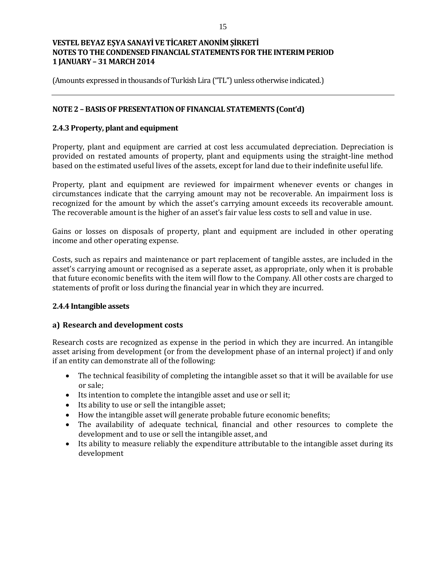(Amounts expressed in thousands of Turkish Lira ("TL") unless otherwise indicated.)

## **NOTE 2 – BASIS OF PRESENTATION OF FINANCIAL STATEMENTS (Cont'd)**

## **2.4.3 Property, plant and equipment**

Property, plant and equipment are carried at cost less accumulated depreciation. Depreciation is provided on restated amounts of property, plant and equipments using the straight-line method based on the estimated useful lives of the assets, except for land due to their indefinite useful life.

Property, plant and equipment are reviewed for impairment whenever events or changes in circumstances indicate that the carrying amount may not be recoverable. An impairment loss is recognized for the amount by which the asset's carrying amount exceeds its recoverable amount. The recoverable amount is the higher of an asset's fair value less costs to sell and value in use.

Gains or losses on disposals of property, plant and equipment are included in other operating income and other operating expense.

Costs, such as repairs and maintenance or part replacement of tangible asstes, are included in the asset's carrying amount or recognised as a seperate asset, as appropriate, only when it is probable that future economic benefits with the item will flow to the Company. All other costs are charged to statements of profit or loss during the financial year in which they are incurred.

#### **2.4.4 Intangible assets**

#### **a) Research and development costs**

Research costs are recognized as expense in the period in which they are incurred. An intangible asset arising from development (or from the development phase of an internal project) if and only if an entity can demonstrate all of the following:

- The technical feasibility of completing the intangible asset so that it will be available for use or sale;
- Its intention to complete the intangible asset and use or sell it;
- Its ability to use or sell the intangible asset;
- How the intangible asset will generate probable future economic benefits;
- The availability of adequate technical, financial and other resources to complete the development and to use or sell the intangible asset, and
- Its ability to measure reliably the expenditure attributable to the intangible asset during its development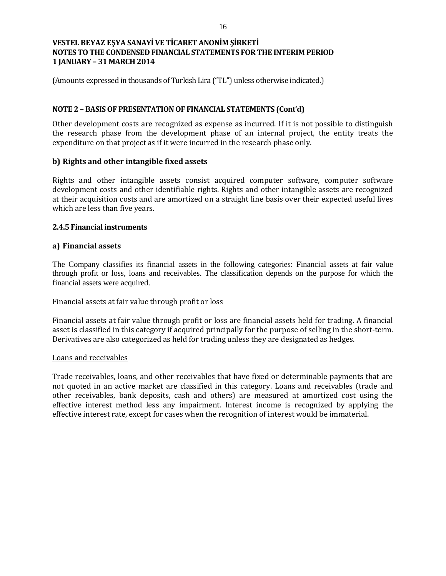(Amounts expressed in thousands of Turkish Lira ("TL") unless otherwise indicated.)

### **NOTE 2 – BASIS OF PRESENTATION OF FINANCIAL STATEMENTS (Cont'd)**

Other development costs are recognized as expense as incurred. If it is not possible to distinguish the research phase from the development phase of an internal project, the entity treats the expenditure on that project as if it were incurred in the research phase only.

## **b) Rights and other intangible fixed assets**

Rights and other intangible assets consist acquired computer software, computer software development costs and other identifiable rights. Rights and other intangible assets are recognized at their acquisition costs and are amortized on a straight line basis over their expected useful lives which are less than five years.

## **2.4.5 Financial instruments**

## **a) Financial assets**

The Company classifies its financial assets in the following categories: Financial assets at fair value through profit or loss, loans and receivables. The classification depends on the purpose for which the financial assets were acquired.

#### Financial assets at fair value through profit or loss

Financial assets at fair value through profit or loss are financial assets held for trading. A financial asset is classified in this category if acquired principally for the purpose of selling in the short-term. Derivatives are also categorized as held for trading unless they are designated as hedges.

#### Loans and receivables

Trade receivables, loans, and other receivables that have fixed or determinable payments that are not quoted in an active market are classified in this category. Loans and receivables (trade and other receivables, bank deposits, cash and others) are measured at amortized cost using the effective interest method less any impairment. Interest income is recognized by applying the effective interest rate, except for cases when the recognition of interest would be immaterial.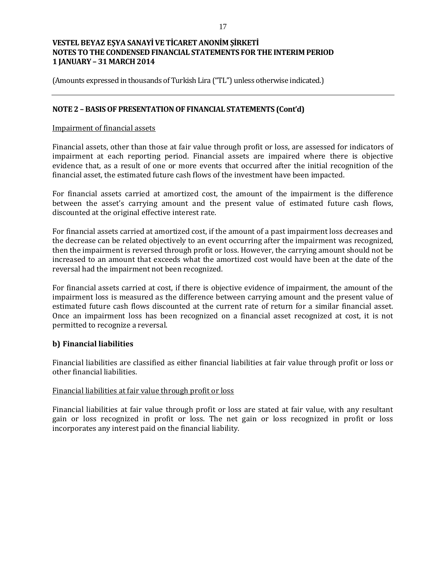(Amounts expressed in thousands of Turkish Lira ("TL") unless otherwise indicated.)

### **NOTE 2 – BASISOF PRESENTATION OF FINANCIAL STATEMENTS (Cont'd)**

#### Impairment of financial assets

Financial assets, other than those at fair value through profit or loss, are assessed for indicators of impairment at each reporting period. Financial assets are impaired where there is objective evidence that, as a result of one or more events that occurred after the initial recognition of the financial asset, the estimated future cash flows of the investment have been impacted.

For financial assets carried at amortized cost, the amount of the impairment is the difference between the asset's carrying amount and the present value of estimated future cash flows, discounted at the original effective interest rate.

For financial assets carried at amortized cost, if the amount of a past impairment loss decreases and the decrease can be related objectively to an event occurring after the impairment was recognized, then the impairment is reversed through profit or loss. However, the carrying amount should not be increased to an amount that exceeds what the amortized cost would have been at the date of the reversal had the impairment not been recognized.

For financial assets carried at cost, if there is objective evidence of impairment, the amount of the impairment loss is measured as the difference between carrying amount and the present value of estimated future cash flows discounted at the current rate of return for a similar financial asset. Once an impairment loss has been recognized on a financial asset recognized at cost, it is not permitted to recognize a reversal.

#### **b) Financial liabilities**

Financial liabilities are classified as either financial liabilities at fair value through profit or loss or other financial liabilities.

#### Financial liabilities at fair value through profit or loss

Financial liabilities at fair value through profit or loss are stated at fair value, with any resultant gain or loss recognized in profit or loss. The net gain or loss recognized in profit or loss incorporates any interest paid on the financial liability.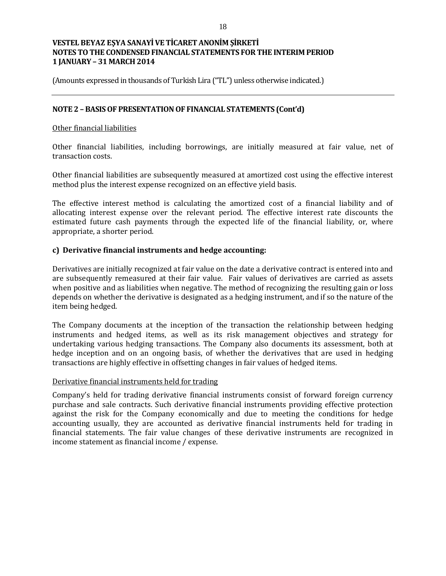(Amounts expressed in thousands of Turkish Lira ("TL") unless otherwise indicated.)

### **NOTE 2 – BASIS OF PRESENTATION OF FINANCIAL STATEMENTS (Cont'd)**

#### Other financial liabilities

Other financial liabilities, including borrowings, are initially measured at fair value, net of transaction costs.

Other financial liabilities are subsequently measured at amortized cost using the effective interest method plus the interest expense recognized on an effective yield basis.

The effective interest method is calculating the amortized cost of a financial liability and of allocating interest expense over the relevant period. The effective interest rate discounts the estimated future cash payments through the expected life of the financial liability, or, where appropriate, a shorter period.

## **c) Derivative financial instruments and hedge accounting:**

Derivatives are initially recognized at fair value on the date a derivative contract is entered into and are subsequently remeasured at their fair value. Fair values of derivatives are carried as assets when positive and as liabilities when negative. The method of recognizing the resulting gain or loss depends on whether the derivative is designated as a hedging instrument, and if so the nature of the item being hedged.

The Company documents at the inception of the transaction the relationship between hedging instruments and hedged items, as well as its risk management objectives and strategy for undertaking various hedging transactions. The Company also documents its assessment, both at hedge inception and on an ongoing basis, of whether the derivatives that are used in hedging transactions are highly effective in offsetting changes in fair values of hedged items.

#### Derivative financial instruments held for trading

Company's held for trading derivative financial instruments consist of forward foreign currency purchase and sale contracts. Such derivative financial instruments providing effective protection against the risk for the Company economically and due to meeting the conditions for hedge accounting usually, they are accounted as derivative financial instruments held for trading in financial statements. The fair value changes of these derivative instruments are recognized in income statement as financial income / expense.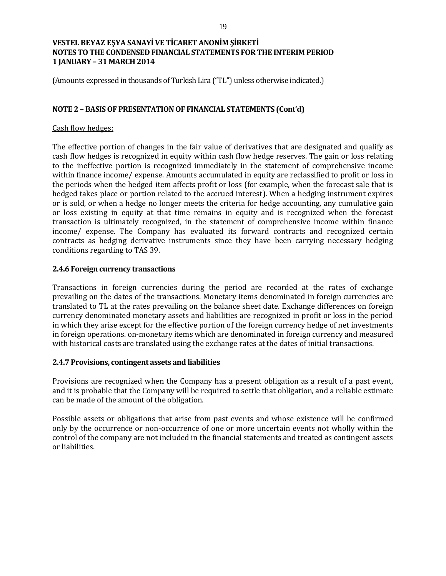(Amounts expressed in thousands of Turkish Lira ("TL") unless otherwise indicated.)

### **NOTE 2 – BASIS OF PRESENTATION OF FINANCIAL STATEMENTS (Cont'd)**

#### Cash flow hedges:

The effective portion of changes in the fair value of derivatives that are designated and qualify as cash flow hedges is recognized in equity within cash flow hedge reserves. The gain or loss relating to the ineffective portion is recognized immediately in the statement of comprehensive income within finance income/ expense. Amounts accumulated in equity are reclassified to profit or loss in the periods when the hedged item affects profit or loss (for example, when the forecast sale that is hedged takes place or portion related to the accrued interest). When a hedging instrument expires or is sold, or when a hedge no longer meets the criteria for hedge accounting, any cumulative gain or loss existing in equity at that time remains in equity and is recognized when the forecast transaction is ultimately recognized, in the statement of comprehensive income within finance income/ expense. The Company has evaluated its forward contracts and recognized certain contracts as hedging derivative instruments since they have been carrying necessary hedging conditions regarding to TAS 39.

#### **2.4.6 Foreign currency transactions**

Transactions in foreign currencies during the period are recorded at the rates of exchange prevailing on the dates of the transactions. Monetary items denominated in foreign currencies are translated to TL at the rates prevailing on the balance sheet date. Exchange differences on foreign currency denominated monetary assets and liabilities are recognized in profit or loss in the period in which they arise except for the effective portion of the foreign currency hedge of net investments in foreign operations. on-monetary items which are denominated in foreign currency and measured with historical costs are translated using the exchange rates at the dates of initial transactions.

#### **2.4.7 Provisions, contingent assets and liabilities**

Provisions are recognized when the Company has a present obligation as a result of a past event, and it is probable that the Company will be required to settle that obligation, and a reliable estimate can be made of the amount of the obligation.

Possible assets or obligations that arise from past events and whose existence will be confirmed only by the occurrence or non-occurrence of one or more uncertain events not wholly within the control of the company are not included in the financial statements and treated as contingent assets or liabilities.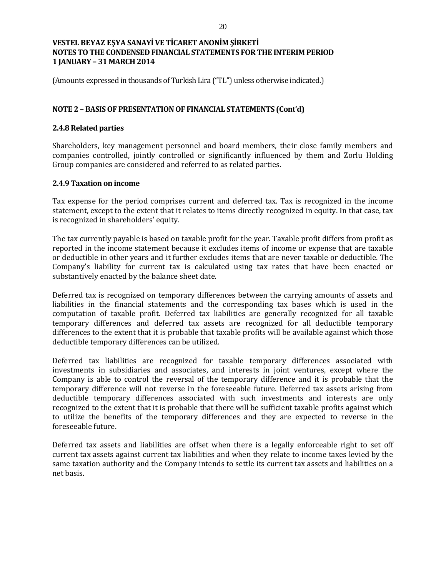(Amounts expressed in thousands of Turkish Lira ("TL") unless otherwise indicated.)

### **NOTE 2 – BASIS OF PRESENTATION OF FINANCIAL STATEMENTS (Cont'd)**

### **2.4.8Related parties**

Shareholders, key management personnel and board members, their close family members and companies controlled, jointly controlled or significantly influenced by them and Zorlu Holding Group companies are considered and referred to as related parties.

#### **2.4.9Taxation on income**

Tax expense for the period comprises current and deferred tax. Tax is recognized in the income statement, except to the extent that it relates to items directly recognized in equity. In that case, tax is recognized in shareholders' equity.

The tax currently payable is based on taxable profit for the year. Taxable profit differs from profit as reported in the income statement because it excludes items of income or expense that are taxable or deductible in other years and it further excludes items that are never taxable or deductible. The Company's liability for current tax is calculated using tax rates that have been enacted or substantively enacted by the balance sheet date.

Deferred tax is recognized on temporary differences between the carrying amounts of assets and liabilities in the financial statements and the corresponding tax bases which is used in the computation of taxable profit. Deferred tax liabilities are generally recognized for all taxable temporary differences and deferred tax assets are recognized for all deductible temporary differences to the extent that it is probable that taxable profits will be available against which those deductible temporary differences can be utilized.

Deferred tax liabilities are recognized for taxable temporary differences associated with investments in subsidiaries and associates, and interests in joint ventures, except where the Company is able to control the reversal of the temporary difference and it is probable that the temporary difference will not reverse in the foreseeable future. Deferred tax assets arising from deductible temporary differences associated with such investments and interests are only recognized to the extent that it is probable that there will be sufficient taxable profits against which to utilize the benefits of the temporary differences and they are expected to reverse in the foreseeable future.

Deferred tax assets and liabilities are offset when there is a legally enforceable right to set off current tax assets against current tax liabilities and when they relate to income taxes levied by the same taxation authority and the Company intends to settle its current tax assets and liabilities on a net basis.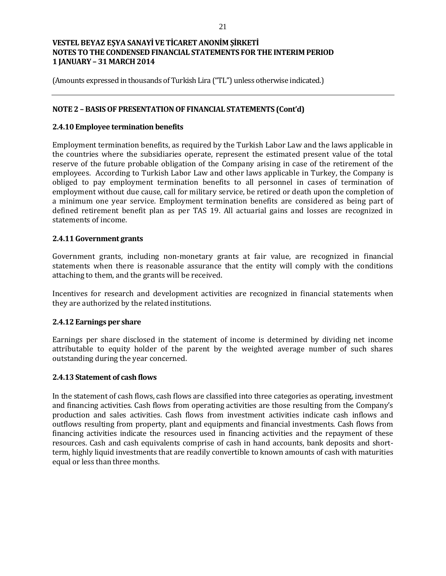(Amounts expressed in thousands of Turkish Lira ("TL") unless otherwise indicated.)

### **NOTE 2 – BASIS OF PRESENTATION OF FINANCIAL STATEMENTS (Cont'd)**

#### **2.4.10 Employee termination benefits**

Employment termination benefits, as required by the Turkish Labor Law and the laws applicable in the countries where the subsidiaries operate, represent the estimated present value of the total reserve of the future probable obligation of the Company arising in case of the retirement of the employees. According to Turkish Labor Law and other laws applicable in Turkey, the Company is obliged to pay employment termination benefits to all personnel in cases of termination of employment without due cause, call for military service, be retired or death upon the completion of a minimum one year service. Employment termination benefits are considered as being part of defined retirement benefit plan as per TAS 19. All actuarial gains and losses are recognized in statements of income.

## **2.4.11Government grants**

Government grants, including non-monetary grants at fair value, are recognized in financial statements when there is reasonable assurance that the entity will comply with the conditions attaching to them, and the grants will be received.

Incentives for research and development activities are recognized in financial statements when they are authorized by the related institutions.

#### **2.4.12 Earnings per share**

Earnings per share disclosed in the statement of income is determined by dividing net income attributable to equity holder of the parent by the weighted average number of such shares outstanding during the year concerned.

#### **2.4.13 Statement of cash flows**

In the statement of cash flows, cash flows are classified into three categories as operating, investment and financing activities. Cash flows from operating activities are those resulting from the Company's production and sales activities. Cash flows from investment activities indicate cash inflows and outflows resulting from property, plant and equipments and financial investments. Cash flows from financing activities indicate the resources used in financing activities and the repayment of these resources. Cash and cash equivalents comprise of cash in hand accounts, bank deposits and shortterm, highly liquid investments that are readily convertible to known amounts of cash with maturities equal or less than three months.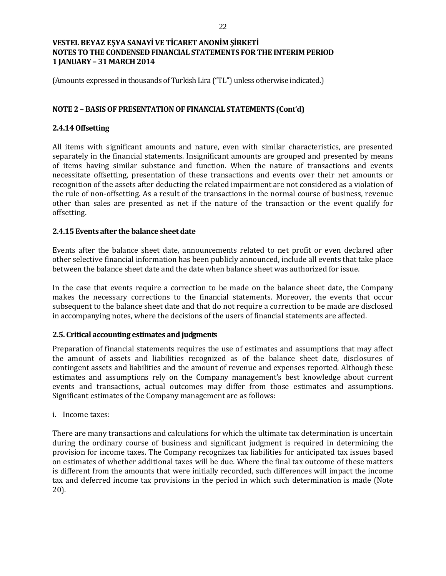(Amounts expressed in thousands of Turkish Lira ("TL") unless otherwise indicated.)

## **NOTE 2 – BASIS OF PRESENTATION OF FINANCIAL STATEMENTS (Cont'd)**

## **2.4.14 Offsetting**

All items with significant amounts and nature, even with similar characteristics, are presented separately in the financial statements. Insignificant amounts are grouped and presented by means of items having similar substance and function. When the nature of transactions and events necessitate offsetting, presentation of these transactions and events over their net amounts or recognition of the assets after deducting the related impairment are not considered as a violation of the rule of non-offsetting. As a result of the transactions in the normal course of business, revenue other than sales are presented as net if the nature of the transaction or the event qualify for offsetting.

#### **2.4.15 Events after the balance sheet date**

Events after the balance sheet date, announcements related to net profit or even declared after other selective financial information has been publicly announced, include all events that take place between the balance sheet date and the date when balance sheet was authorized for issue.

In the case that events require a correction to be made on the balance sheet date, the Company makes the necessary corrections to the financial statements. Moreover, the events that occur subsequent to the balance sheet date and that do not require a correction to be made are disclosed in accompanying notes, where the decisions of the users of financial statements are affected.

#### **2.5. Critical accounting estimates and judgments**

Preparation of financial statements requires the use of estimates and assumptions that may affect the amount of assets and liabilities recognized as of the balance sheet date, disclosures of contingent assets and liabilities and the amount of revenue and expenses reported. Although these estimates and assumptions rely on the Company management's best knowledge about current events and transactions, actual outcomes may differ from those estimates and assumptions. Significant estimates of the Company management are as follows:

#### i. Income taxes:

There are many transactions and calculations for which the ultimate tax determination is uncertain during the ordinary course of business and significant judgment is required in determining the provision for income taxes. The Company recognizes tax liabilities for anticipated tax issues based on estimates of whether additional taxes will be due. Where the final tax outcome of these matters is different from the amounts that were initially recorded, such differences will impact the income tax and deferred income tax provisions in the period in which such determination is made (Note 20).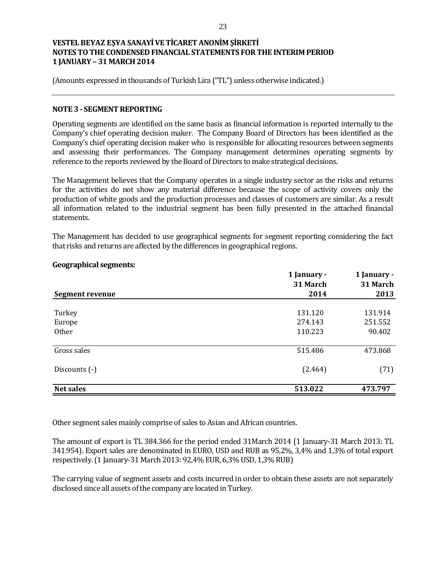(Amounts expressed in thousands of Turkish Lira ("TL") unless otherwise indicated.)

#### **NOTE 3 - SEGMENT REPORTING**

Operating segments are identified on the same basis as financial information is reported internally to the Company's chief operating decision maker. The Company Board of Directors has been identified as the Company's chief operating decision maker who is responsible for allocating resources between segments and assessing their performances. The Company management determines operating segments by reference to the reports reviewed by the Board of Directors to make strategical decisions.

The Management believes that the Company operates in a single industry sector as the risks and returns for the activities do not show any material difference because the scope of activity covers only the production of white goods and the production processes and classes of customers are similar. As a result all information related to the industrial segment has been fully presented in the attached financial statements.

The Management has decided to use geographical segments for segment reporting considering the fact that risks and returns are affected by the differences in geographical regions.

| <b>Segment revenue</b> | 1 January -<br>31 March<br>2014 | 1 January -<br>31 March<br>2013 |
|------------------------|---------------------------------|---------------------------------|
| Turkey                 | 131.120                         | 131.914                         |
| Europe                 | 274.143                         | 251.552                         |
| Other                  | 110.223                         | 90.402                          |
| Gross sales            | 515.486                         | 473.868                         |
| Discounts (-)          | (2.464)                         | (71)                            |
| Net sales              | 513.022                         | 473.797                         |

#### **Geographical segments:**

Other segment sales mainly comprise of sales to Asian and African countries.

The amount of export is TL 384.366 for the period ended 31March 2014 (1 January-31 March 2013: TL 341.954). Export sales are denominated in EURO, USD and RUB as 95,2%, 3,4% and 1,3% of total export respectively. (1 January-31 March 2013: 92,4% EUR, 6,3% USD, 1,3% RUB)

The carrying value of segment assets and costs incurred in order to obtain these assets are not separately disclosed since all assets of the company are located in Turkey.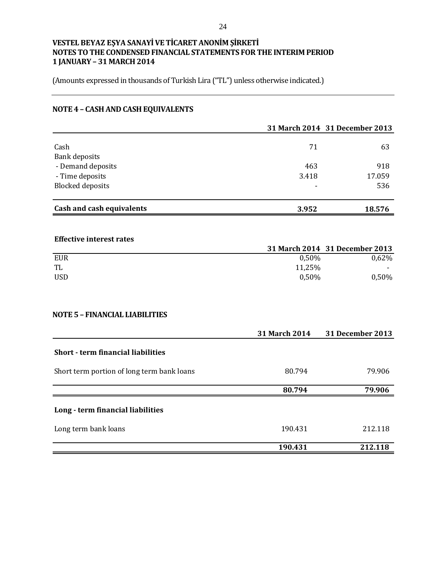(Amounts expressed in thousands of Turkish Lira ("TL") unless otherwise indicated.)

# **NOTE 4 – CASH AND CASH EQUIVALENTS**

|                           |       | 31 March 2014 31 December 2013 |
|---------------------------|-------|--------------------------------|
| Cash                      | 71    | 63                             |
| <b>Bank deposits</b>      |       |                                |
| - Demand deposits         | 463   | 918                            |
| - Time deposits           | 3.418 | 17.059                         |
| <b>Blocked deposits</b>   |       | 536                            |
| Cash and cash equivalents | 3.952 | 18.576                         |

#### **Effective interest rates**

|            |        | 31 March 2014 31 December 2013 |
|------------|--------|--------------------------------|
| EUR        | 0.50%  | 0,62%                          |
| TL         | 11,25% | -                              |
| <b>USD</b> | 0.50%  | 0,50%                          |

#### **NOTE 5 – FINANCIAL LIABILITIES**

|                                            | <b>31 March 2014</b> | 31 December 2013 |
|--------------------------------------------|----------------------|------------------|
| Short - term financial liabilities         |                      |                  |
| Short term portion of long term bank loans | 80.794               | 79.906           |
|                                            | 80.794               | 79.906           |
| Long - term financial liabilities          |                      |                  |
| Long term bank loans                       | 190.431              | 212.118          |
|                                            | 190.431              | 212.118          |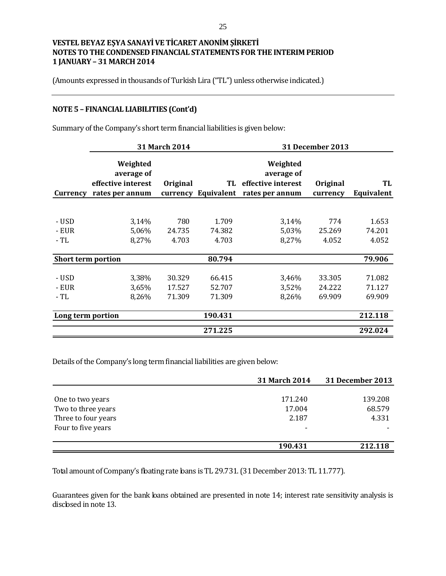(Amounts expressed in thousands of Turkish Lira ("TL") unless otherwise indicated.)

### **NOTE 5 – FINANCIAL LIABILITIES (Cont'd)**

Summary of the Company's short term financial liabilities is given below:

|                           |                                                                 | 31 March 2014 | <b>31 December 2013</b> |                                                                                        |                      |                  |
|---------------------------|-----------------------------------------------------------------|---------------|-------------------------|----------------------------------------------------------------------------------------|----------------------|------------------|
| Currency                  | Weighted<br>average of<br>effective interest<br>rates per annum | Original      |                         | Weighted<br>average of<br>TL effective interest<br>currency Equivalent rates per annum | Original<br>currency | TL<br>Equivalent |
|                           |                                                                 |               |                         |                                                                                        |                      |                  |
| - USD                     | 3,14%                                                           | 780           | 1.709                   | 3,14%                                                                                  | 774                  | 1.653            |
| - EUR                     | 5,06%                                                           | 24.735        | 74.382                  | 5,03%                                                                                  | 25.269               | 74.201           |
| - TL                      | 8,27%                                                           | 4.703         | 4.703                   | 8,27%                                                                                  | 4.052                | 4.052            |
| <b>Short term portion</b> |                                                                 |               | 80.794                  |                                                                                        |                      | 79.906           |
| - USD                     | 3,38%                                                           | 30.329        | 66.415                  | 3,46%                                                                                  | 33.305               | 71.082           |
| - EUR                     | 3,65%                                                           | 17.527        | 52.707                  | 3,52%                                                                                  | 24.222               | 71.127           |
| - TL                      | 8,26%                                                           | 71.309        | 71.309                  | 8,26%                                                                                  | 69.909               | 69.909           |
| Long term portion         |                                                                 |               | 190.431                 |                                                                                        |                      | 212.118          |
|                           |                                                                 |               | 271.225                 |                                                                                        |                      | 292.024          |

Details of the Company's long term financial liabilities are given below:

|                     | <b>31 March 2014</b> | <b>31 December 2013</b> |
|---------------------|----------------------|-------------------------|
|                     |                      |                         |
| One to two years    | 171.240              | 139.208                 |
| Two to three years  | 17.004               | 68.579                  |
| Three to four years | 2.187                | 4.331                   |
| Four to five years  |                      |                         |
|                     | 190.431              | 212.118                 |

Total amount of Company's floating rate loans is TL 29.731. (31 December 2013: TL 11.777).

Guarantees given for the bank loans obtained are presented in note 14; interest rate sensitivity analysis is disclosed in note 13.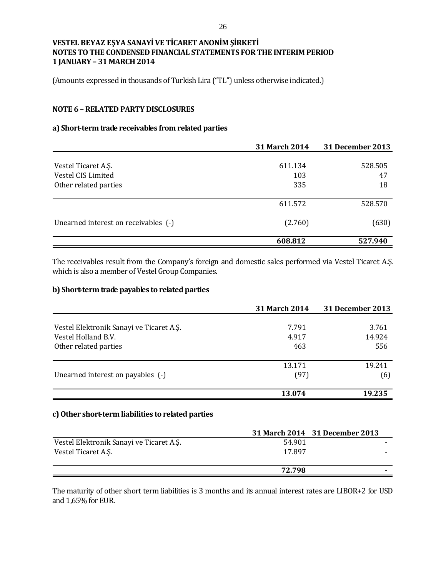(Amounts expressed in thousands of Turkish Lira ("TL") unless otherwise indicated.)

## **NOTE 6 –RELATED PARTY DISCLOSURES**

## **a) Short-term trade receivables from related parties**

|                                      | 31 March 2014 | <b>31 December 2013</b> |
|--------------------------------------|---------------|-------------------------|
|                                      |               |                         |
| Vestel Ticaret A.S.                  | 611.134       | 528.505                 |
| Vestel CIS Limited                   | 103           | 47                      |
| Other related parties                | 335           | 18                      |
|                                      |               |                         |
|                                      | 611.572       | 528.570                 |
| Unearned interest on receivables (-) | (2.760)       | (630)                   |
|                                      | 608.812       | 527.940                 |

The receivables result from the Company's foreign and domestic sales performed via Vestel Ticaret A.Ş. which is also a member of Vestel Group Companies.

#### **b) Short-term trade payables to related parties**

|                                          | <b>31 March 2014</b> | <b>31 December 2013</b> |
|------------------------------------------|----------------------|-------------------------|
|                                          |                      |                         |
| Vestel Elektronik Sanayi ve Ticaret A.Ş. | 7.791                | 3.761                   |
| Vestel Holland B.V.                      | 4.917                | 14.924                  |
| Other related parties                    | 463                  | 556                     |
|                                          | 13.171               | 19.241                  |
| Unearned interest on payables (-)        | (97)                 | (6)                     |
|                                          | 13.074               | 19.235                  |

#### **c) Other short-term liabilities to related parties**

|                                          |        | 31 March 2014 31 December 2013 |
|------------------------------------------|--------|--------------------------------|
| Vestel Elektronik Sanayi ve Ticaret A.Ş. | 54.901 |                                |
| Vestel Ticaret A.S.                      | 17.897 |                                |
|                                          | 72.798 |                                |

The maturity of other short term liabilities is 3 months and its annual interest rates are LIBOR+2 for USD and 1,65% for EUR.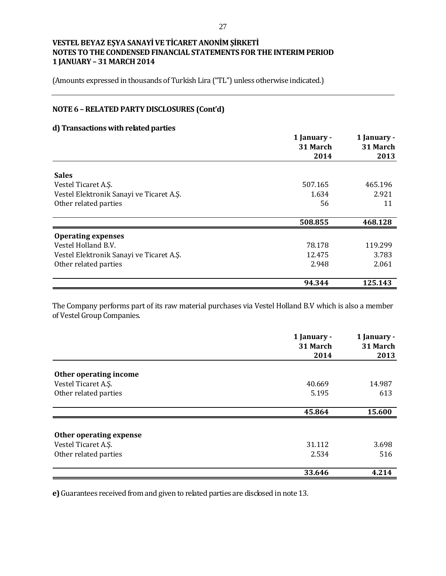(Amounts expressed in thousands of Turkish Lira ("TL") unless otherwise indicated.)

## **NOTE 6 –RELATED PARTY DISCLOSURES (Cont'd)**

### **d) Transactions with related parties**

|                                          | 1 January - | 1 January -<br>31 March |  |
|------------------------------------------|-------------|-------------------------|--|
|                                          | 31 March    |                         |  |
|                                          | 2014        | 2013                    |  |
| <b>Sales</b>                             |             |                         |  |
| Vestel Ticaret A.S.                      | 507.165     | 465.196                 |  |
| Vestel Elektronik Sanayi ve Ticaret A.Ş. | 1.634       | 2.921                   |  |
| Other related parties                    | 56          | 11                      |  |
|                                          | 508.855     | 468.128                 |  |
| <b>Operating expenses</b>                |             |                         |  |
| Vestel Holland B.V.                      | 78.178      | 119.299                 |  |
| Vestel Elektronik Sanayi ve Ticaret A.Ş. | 12.475      | 3.783                   |  |
| Other related parties                    | 2.948       | 2.061                   |  |
|                                          | 94.344      | 125.143                 |  |

The Company performs part of its raw material purchases via Vestel Holland B.V which is also a member of Vestel Group Companies.

|                                                | 1 January -<br>31 March<br>2014 | 1 January -<br>31 March<br>2013 |
|------------------------------------------------|---------------------------------|---------------------------------|
| Other operating income                         |                                 |                                 |
| Vestel Ticaret A.S.                            | 40.669                          | 14.987                          |
| Other related parties                          | 5.195                           | 613                             |
|                                                | 45.864                          | 15.600                          |
|                                                |                                 |                                 |
| Other operating expense<br>Vestel Ticaret A.S. | 31.112                          | 3.698                           |
| Other related parties                          | 2.534                           | 516                             |
|                                                | 33.646                          | 4.214                           |

**e)** Guarantees received from and given to related parties are disclosed in note 13.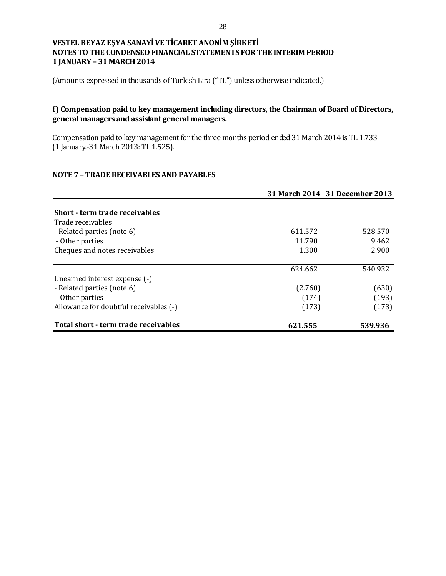(Amounts expressed in thousands of Turkish Lira ("TL") unless otherwise indicated.)

## **f) Compensation paid to key management including directors, the Chairman of Board of Directors, general managers and assistant general managers.**

Compensation paid to key management for the three months period ended 31 March 2014 is TL 1.733 (1 January.-31 March 2013: TL 1.525).

#### **NOTE 7 – TRADE RECEIVABLES AND PAYABLES**

|                                        |         | 31 March 2014 31 December 2013 |
|----------------------------------------|---------|--------------------------------|
|                                        |         |                                |
| Short - term trade receivables         |         |                                |
| Trade receivables                      |         |                                |
| - Related parties (note 6)             | 611.572 | 528.570                        |
| - Other parties                        | 11.790  | 9.462                          |
| Cheques and notes receivables          | 1.300   | 2.900                          |
|                                        | 624.662 | 540.932                        |
| Unearned interest expense (-)          |         |                                |
| - Related parties (note 6)             | (2.760) | (630)                          |
| - Other parties                        | (174)   | (193)                          |
| Allowance for doubtful receivables (-) | (173)   | (173)                          |
| Total short - term trade receivables   | 621.555 | 539.936                        |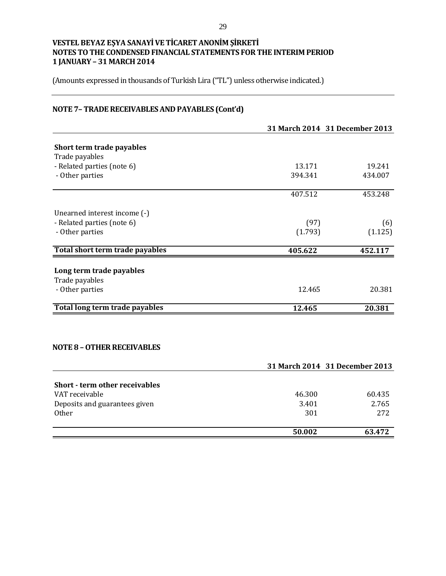(Amounts expressed in thousands of Turkish Lira ("TL") unless otherwise indicated.)

# **NOTE 7– TRADE RECEIVABLES AND PAYABLES (Cont'd)**

|                                       |         | 31 March 2014 31 December 2013 |
|---------------------------------------|---------|--------------------------------|
| Short term trade payables             |         |                                |
| Trade payables                        |         |                                |
| - Related parties (note 6)            | 13.171  | 19.241                         |
| - Other parties                       | 394.341 | 434.007                        |
|                                       | 407.512 | 453.248                        |
| Unearned interest income (-)          |         |                                |
| - Related parties (note 6)            | (97)    | (6)                            |
| - Other parties                       | (1.793) | (1.125)                        |
| Total short term trade payables       | 405.622 | 452.117                        |
|                                       |         |                                |
| Long term trade payables              |         |                                |
| Trade payables                        |         |                                |
| - Other parties                       | 12.465  | 20.381                         |
| Total long term trade payables        | 12.465  | 20.381                         |
|                                       |         |                                |
| <b>NOTE 8 - OTHER RECEIVABLES</b>     |         |                                |
|                                       |         | 31 March 2014 31 December 2013 |
| <b>Short - term other receivables</b> |         |                                |
| VAT receivable                        | 46.300  | 60.435                         |
| Deposits and guarantees given         | 3.401   | 2.765                          |
| <b>Other</b>                          | 301     | 272                            |

 **50.002 63.472**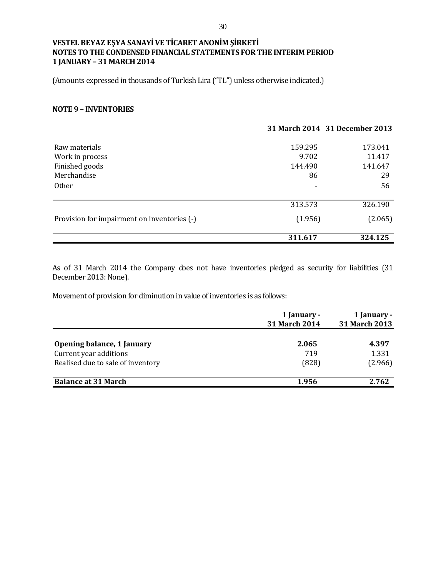(Amounts expressed in thousands of Turkish Lira ("TL") unless otherwise indicated.)

#### **NOTE 9 – INVENTORIES**

|                                             |         | 31 March 2014 31 December 2013 |
|---------------------------------------------|---------|--------------------------------|
|                                             |         |                                |
| Raw materials                               | 159.295 | 173.041                        |
| Work in process                             | 9.702   | 11.417                         |
| Finished goods                              | 144.490 | 141.647                        |
| Merchandise                                 | 86      | 29                             |
| <b>Other</b>                                |         | 56                             |
|                                             | 313.573 | 326.190                        |
| Provision for impairment on inventories (-) | (1.956) | (2.065)                        |
|                                             | 311.617 | 324.125                        |

As of 31 March 2014 the Company does not have inventories pledged as security for liabilities (31 December 2013: None).

Movement of provision for diminution in value of inventories is as follows:

|                                   | 1 January -<br>31 March 2014 | 1 January -<br>31 March 2013 |
|-----------------------------------|------------------------------|------------------------------|
| Opening balance, 1 January        | 2.065                        | 4.397                        |
| Current year additions            | 719                          | 1.331                        |
| Realised due to sale of inventory | (828)                        | (2.966)                      |
| <b>Balance at 31 March</b>        | 1.956                        | 2.762                        |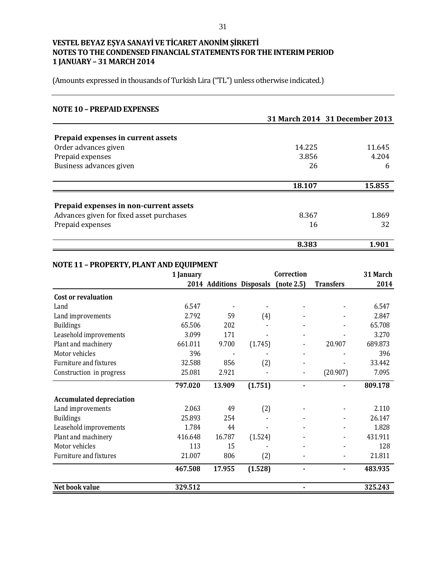(Amounts expressed in thousands of Turkish Lira ("TL") unless otherwise indicated.)

#### **NOTE 10 – PREPAID EXPENSES**

|                                          |        | 31 March 2014 31 December 2013 |
|------------------------------------------|--------|--------------------------------|
|                                          |        |                                |
| Prepaid expenses in current assets       |        |                                |
| Order advances given                     | 14.225 | 11.645                         |
| Prepaid expenses                         | 3.856  | 4.204                          |
| Business advances given                  | 26     | 6                              |
|                                          | 18.107 | 15.855                         |
|                                          |        |                                |
| Prepaid expenses in non-current assets   |        |                                |
| Advances given for fixed asset purchases | 8.367  | 1.869                          |
| Prepaid expenses                         | 16     | 32                             |
|                                          | 8.383  | 1.901                          |

# **NOTE 11 – PROPERTY, PLANT AND EQUIPMENT**

|                                 | 1 January |        |                                     | Correction     |                  | 31 March |
|---------------------------------|-----------|--------|-------------------------------------|----------------|------------------|----------|
|                                 |           |        | 2014 Additions Disposals (note 2.5) |                | <b>Transfers</b> | 2014     |
| <b>Cost or revaluation</b>      |           |        |                                     |                |                  |          |
| Land                            | 6.547     |        |                                     |                |                  | 6.547    |
| Land improvements               | 2.792     | 59     | (4)                                 |                |                  | 2.847    |
| <b>Buildings</b>                | 65.506    | 202    |                                     |                |                  | 65.708   |
| Leasehold improvements          | 3.099     | 171    |                                     |                |                  | 3.270    |
| Plant and machinery             | 661.011   | 9.700  | (1.745)                             |                | 20.907           | 689.873  |
| Motor vehicles                  | 396       |        |                                     |                |                  | 396      |
| Furniture and fixtures          | 32.588    | 856    | (2)                                 |                |                  | 33.442   |
| Construction in progress        | 25.081    | 2.921  |                                     |                | (20.907)         | 7.095    |
|                                 | 797.020   | 13.909 | (1.751)                             |                |                  | 809.178  |
| <b>Accumulated depreciation</b> |           |        |                                     |                |                  |          |
| Land improvements               | 2.063     | 49     | (2)                                 |                |                  | 2.110    |
| <b>Buildings</b>                | 25.893    | 254    |                                     |                |                  | 26.147   |
| Leasehold improvements          | 1.784     | 44     |                                     |                |                  | 1.828    |
| Plant and machinery             | 416.648   | 16.787 | (1.524)                             |                |                  | 431.911  |
| Motor vehicles                  | 113       | 15     |                                     |                |                  | 128      |
| Furniture and fixtures          | 21.007    | 806    | (2)                                 |                |                  | 21.811   |
|                                 | 467.508   | 17.955 | (1.528)                             |                |                  | 483.935  |
| Net book value                  | 329.512   |        |                                     | $\blacksquare$ |                  | 325.243  |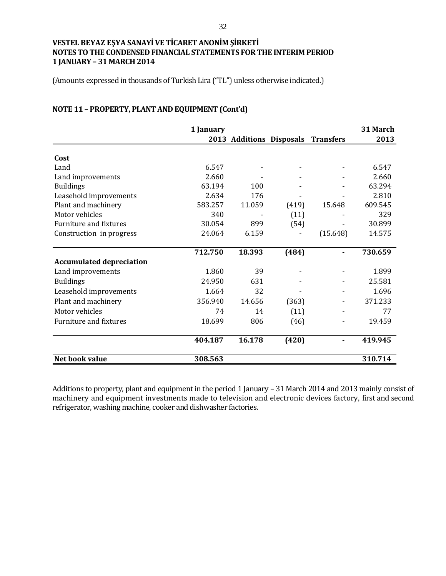(Amounts expressed in thousands of Turkish Lira ("TL") unless otherwise indicated.)

|                                 | 1 January |        |                                    |          | 31 March |
|---------------------------------|-----------|--------|------------------------------------|----------|----------|
|                                 |           |        | 2013 Additions Disposals Transfers |          | 2013     |
| Cost                            |           |        |                                    |          |          |
| Land                            | 6.547     |        |                                    |          | 6.547    |
| Land improvements               | 2.660     |        |                                    |          | 2.660    |
| <b>Buildings</b>                | 63.194    | 100    |                                    |          | 63.294   |
| Leasehold improvements          | 2.634     | 176    |                                    |          | 2.810    |
| Plant and machinery             | 583.257   | 11.059 | (419)                              | 15.648   | 609.545  |
| Motor vehicles                  | 340       |        | (11)                               |          | 329      |
| Furniture and fixtures          | 30.054    | 899    | (54)                               |          | 30.899   |
| Construction in progress        | 24.064    | 6.159  |                                    | (15.648) | 14.575   |
|                                 |           |        |                                    |          |          |
|                                 | 712.750   | 18.393 | (484)                              | Ξ.       | 730.659  |
| <b>Accumulated depreciation</b> |           |        |                                    |          |          |
| Land improvements               | 1.860     | 39     |                                    |          | 1.899    |
| <b>Buildings</b>                | 24.950    | 631    |                                    |          | 25.581   |
| Leasehold improvements          | 1.664     | 32     |                                    |          | 1.696    |
| Plant and machinery             | 356.940   | 14.656 | (363)                              |          | 371.233  |
| Motor vehicles                  | 74        | 14     | (11)                               |          | 77       |
| <b>Furniture and fixtures</b>   | 18.699    | 806    | (46)                               |          | 19.459   |
|                                 |           |        |                                    |          |          |
|                                 | 404.187   | 16.178 | (420)                              |          | 419.945  |
| Net book value                  | 308.563   |        |                                    |          | 310.714  |

# **NOTE 11 – PROPERTY, PLANT AND EQUIPMENT (Cont'd)**

Additions to property, plant and equipment in the period 1 January – 31 March 2014 and 2013 mainly consist of machinery and equipment investments made to television and electronic devices factory, first and second refrigerator, washing machine, cooker and dishwasher factories.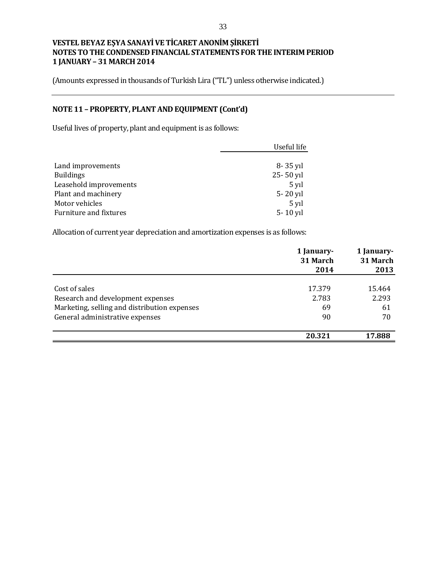(Amounts expressed in thousands of Turkish Lira ("TL") unless otherwise indicated.)

# **NOTE 11 – PROPERTY, PLANT AND EQUIPMENT (Cont'd)**

Useful lives of property, plant and equipment is as follows:

|                        | Useful life |
|------------------------|-------------|
|                        |             |
| Land improvements      | 8-35 yil    |
| <b>Buildings</b>       | 25-50 yıl   |
| Leasehold improvements | 5 yil       |
| Plant and machinery    | 5-20 yil    |
| Motor vehicles         | 5 yil       |
| Furniture and fixtures | 5-10 yil    |

Allocation of current year depreciation and amortization expenses is as follows:

|                                              | 1 January-<br>31 March<br>2014 | 1 January-<br>31 March<br>2013 |
|----------------------------------------------|--------------------------------|--------------------------------|
| Cost of sales                                | 17.379                         | 15.464                         |
| Research and development expenses            | 2.783                          | 2.293                          |
| Marketing, selling and distribution expenses | 69                             | 61                             |
| General administrative expenses              | 90                             | 70                             |
|                                              | 20.321                         | 17.888                         |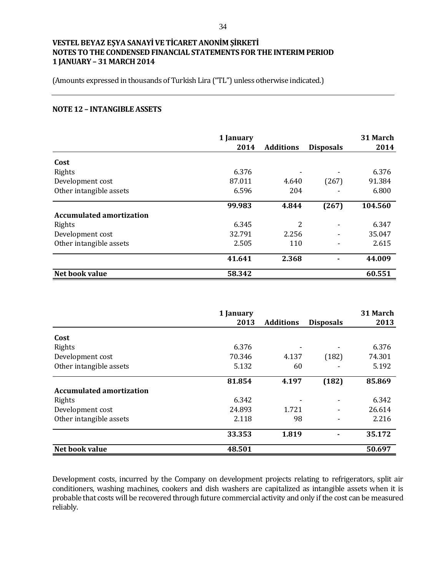(Amounts expressed in thousands of Turkish Lira ("TL") unless otherwise indicated.)

#### **NOTE 12 – INTANGIBLE ASSETS**

|                                 | 1 January |                  |                  | 31 March |
|---------------------------------|-----------|------------------|------------------|----------|
|                                 | 2014      | <b>Additions</b> | <b>Disposals</b> | 2014     |
| Cost                            |           |                  |                  |          |
| Rights                          | 6.376     |                  |                  | 6.376    |
| Development cost                | 87.011    | 4.640            | (267)            | 91.384   |
| Other intangible assets         | 6.596     | 204              |                  | 6.800    |
|                                 | 99.983    | 4.844            | (267)            | 104.560  |
| <b>Accumulated amortization</b> |           |                  |                  |          |
| Rights                          | 6.345     | 2                |                  | 6.347    |
| Development cost                | 32.791    | 2.256            |                  | 35.047   |
| Other intangible assets         | 2.505     | 110              |                  | 2.615    |
|                                 | 41.641    | 2.368            |                  | 44.009   |
| Net book value                  | 58.342    |                  |                  | 60.551   |

|                                 | 1 January |                  |                  | 31 March |
|---------------------------------|-----------|------------------|------------------|----------|
|                                 | 2013      | <b>Additions</b> | <b>Disposals</b> | 2013     |
| Cost                            |           |                  |                  |          |
| Rights                          | 6.376     |                  |                  | 6.376    |
| Development cost                | 70.346    | 4.137            | (182)            | 74.301   |
| Other intangible assets         | 5.132     | 60               |                  | 5.192    |
|                                 | 81.854    | 4.197            | (182)            | 85.869   |
| <b>Accumulated amortization</b> |           |                  |                  |          |
| Rights                          | 6.342     |                  |                  | 6.342    |
| Development cost                | 24.893    | 1.721            |                  | 26.614   |
| Other intangible assets         | 2.118     | 98               |                  | 2.216    |
|                                 | 33.353    | 1.819            |                  | 35.172   |
| Net book value                  | 48.501    |                  |                  | 50.697   |

Development costs, incurred by the Company on development projects relating to refrigerators, split air conditioners, washing machines, cookers and dish washers are capitalized as intangible assets when it is probable that costs will be recovered through future commercial activity and only if the cost can be measured reliably.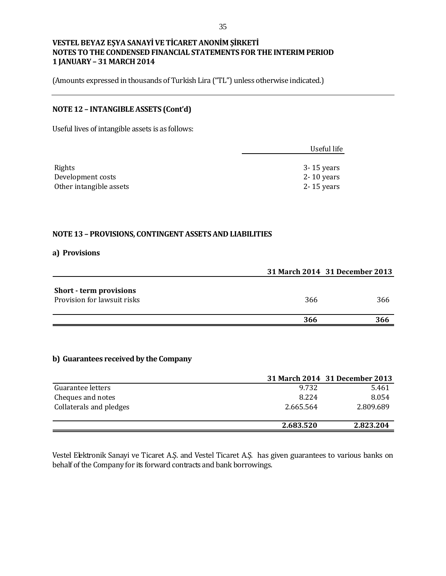(Amounts expressed in thousands of Turkish Lira ("TL") unless otherwise indicated.)

## **NOTE 12 – INTANGIBLE ASSETS (Cont'd)**

Useful lives of intangible assets is as follows:

|                         | Useful life    |
|-------------------------|----------------|
|                         |                |
| Rights                  | 3-15 years     |
| Development costs       | $2 - 10$ years |
| Other intangible assets | $2 - 15$ years |

## **NOTE 13 – PROVISIONS, CONTINGENT ASSETS AND LIABILITIES**

#### **a) Provisions**

|                                                               |     | 31 March 2014 31 December 2013 |
|---------------------------------------------------------------|-----|--------------------------------|
| <b>Short - term provisions</b><br>Provision for lawsuit risks | 366 | 366                            |
|                                                               | 366 | 366                            |

#### **b) Guarantees received by the Company**

|                         |           | 31 March 2014 31 December 2013 |
|-------------------------|-----------|--------------------------------|
| Guarantee letters       | 9.732     | 5.461                          |
| Cheques and notes       | 8.224     | 8.054                          |
| Collaterals and pledges | 2.665.564 | 2.809.689                      |
|                         | 2.683.520 | 2.823.204                      |

Vestel Elektronik Sanayi ve Ticaret A.Ş. and Vestel Ticaret A.Ş. has given guarantees to various banks on behalf of the Company for its forward contracts and bank borrowings.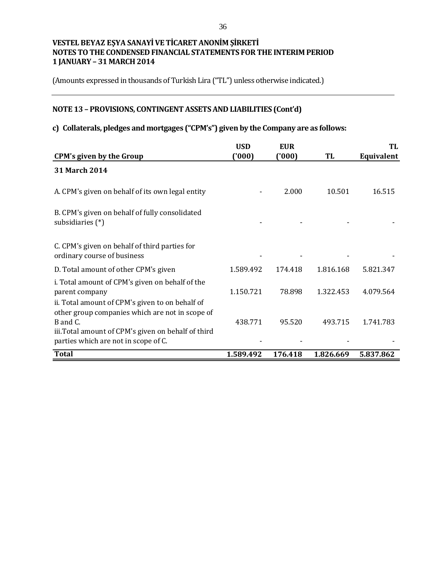(Amounts expressed in thousands of Turkish Lira ("TL") unless otherwise indicated.)

# **NOTE 13 – PROVISIONS, CONTINGENT ASSETS AND LIABILITIES (Cont'd)**

## **c) Collaterals, pledges and mortgages ("CPM's") given by the Company are as follows:**

|                                                                                                                                                            | <b>USD</b> | <b>EUR</b> |           | TL         |
|------------------------------------------------------------------------------------------------------------------------------------------------------------|------------|------------|-----------|------------|
| <b>CPM's given by the Group</b>                                                                                                                            | ('000)     | ('000)     | TL        | Equivalent |
| <b>31 March 2014</b>                                                                                                                                       |            |            |           |            |
| A. CPM's given on behalf of its own legal entity                                                                                                           |            | 2.000      | 10.501    | 16.515     |
| B. CPM's given on behalf of fully consolidated<br>subsidiaries $(*)$                                                                                       |            |            |           |            |
| C. CPM's given on behalf of third parties for<br>ordinary course of business                                                                               |            |            |           |            |
| D. Total amount of other CPM's given                                                                                                                       | 1.589.492  | 174.418    | 1.816.168 | 5.821.347  |
| i. Total amount of CPM's given on behalf of the<br>parent company<br>ii. Total amount of CPM's given to on behalf of                                       | 1.150.721  | 78.898     | 1.322.453 | 4.079.564  |
| other group companies which are not in scope of<br>B and C.<br>iii. Total amount of CPM's given on behalf of third<br>parties which are not in scope of C. | 438.771    | 95.520     | 493.715   | 1.741.783  |
| <b>Total</b>                                                                                                                                               | 1.589.492  | 176.418    | 1.826.669 | 5.837.862  |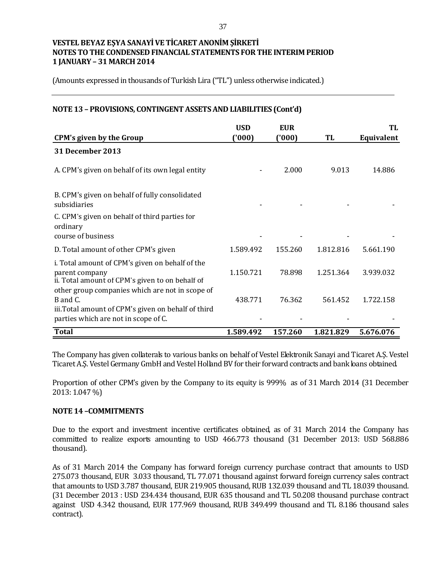(Amounts expressed in thousands of Turkish Lira ("TL") unless otherwise indicated.)

#### **NOTE 13 – PROVISIONS, CONTINGENT ASSETS AND LIABILITIES (Cont'd)**

|                                                                                                                                                                         | <b>USD</b> | <b>EUR</b> |           | TL         |
|-------------------------------------------------------------------------------------------------------------------------------------------------------------------------|------------|------------|-----------|------------|
| <b>CPM's given by the Group</b>                                                                                                                                         | (000)      | (1000)     | TL        | Equivalent |
| <b>31 December 2013</b>                                                                                                                                                 |            |            |           |            |
| A. CPM's given on behalf of its own legal entity                                                                                                                        |            | 2.000      | 9.013     | 14.886     |
| B. CPM's given on behalf of fully consolidated<br>subsidiaries                                                                                                          |            |            |           |            |
| C. CPM's given on behalf of third parties for<br>ordinary<br>course of business                                                                                         |            |            |           |            |
|                                                                                                                                                                         |            |            |           |            |
| D. Total amount of other CPM's given                                                                                                                                    | 1.589.492  | 155.260    | 1.812.816 | 5.661.190  |
| i. Total amount of CPM's given on behalf of the<br>parent company<br>ii. Total amount of CPM's given to on behalf of<br>other group companies which are not in scope of | 1.150.721  | 78.898     | 1.251.364 | 3.939.032  |
| B and C.                                                                                                                                                                | 438.771    | 76.362     | 561.452   | 1.722.158  |
| iii. Total amount of CPM's given on behalf of third<br>parties which are not in scope of C.                                                                             |            |            |           |            |
| <b>Total</b>                                                                                                                                                            | 1.589.492  | 157.260    | 1.821.829 | 5.676.076  |

The Company has given collaterals to various banks on behalf of Vestel Elektronik Sanayi and Ticaret A.Ş. Vestel Ticaret A.Ş. Vestel Germany GmbH and Vestel Holland BV for their forward contracts and bank loans obtained.

Proportion of other CPM's given by the Company to its equity is 999% as of 31 March 2014 (31 December 2013: 1.047 %)

#### **NOTE 14 –COMMITMENTS**

Due to the export and investment incentive certificates obtained, as of 31 March 2014 the Company has committed to realize exports amounting to USD 466.773 thousand (31 December 2013: USD 568.886 thousand).

As of 31 March 2014 the Company has forward foreign currency purchase contract that amounts to USD 275.073 thousand, EUR 3.033 thousand, TL 77.071 thousand against forward foreign currency sales contract that amounts to USD 3.787 thousand, EUR 219.905 thousand, RUB 132.039 thousand and TL 18.039 thousand. (31 December 2013 : USD 234.434 thousand, EUR 635 thousand and TL 50.208 thousand purchase contract against USD 4.342 thousand, EUR 177.969 thousand, RUB 349.499 thousand and TL 8.186 thousand sales contract).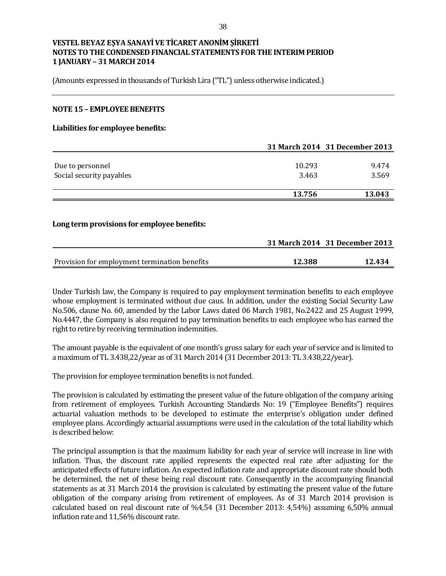(Amounts expressed in thousands of Turkish Lira ("TL") unless otherwise indicated.)

#### **NOTE 15 – EMPLOYEE BENEFITS**

#### **Liabilities for employee benefits:**

|                          |        | 31 March 2014 31 December 2013 |
|--------------------------|--------|--------------------------------|
|                          |        |                                |
| Due to personnel         | 10.293 | 9.474                          |
| Social security payables | 3.463  | 3.569                          |
|                          |        |                                |
|                          | 13.756 | 13.043                         |
|                          |        |                                |

#### **Long term provisions for employee benefits:**

|                                               |        | 31 March 2014 31 December 2013 |
|-----------------------------------------------|--------|--------------------------------|
| Provision for employment termination benefits | 12.388 | 12.434                         |

Under Turkish law, the Company is required to pay employment termination benefits to each employee whose employment is terminated without due caus. In addition, under the existing Social Security Law No.506, clause No. 60, amended by the Labor Laws dated 06 March 1981, No.2422 and 25 August 1999, No.4447, the Company is also required to pay termination benefits to each employee who has earned the right to retire by receiving termination indemnities.

The amount payable is the equivalent of one month's gross salary for each year of service and is limited to a maximum of TL 3.438,22/year as of 31 March 2014 (31 December 2013: TL 3.438,22/year).

The provision for employee termination benefits is not funded.

The provision is calculated by estimating the present value of the future obligation of the company arising from retirement of employees. Turkish Accounting Standards No: 19 ("Employee Benefits") requires actuarial valuation methods to be developed to estimate the enterprise's obligation under defined employee plans. Accordingly actuarial assumptions were used in the calculation of the total liability which is described below:

The principal assumption is that the maximum liability for each year of service will increase in line with inflation. Thus, the discount rate applied represents the expected real rate after adjusting for the anticipated effects of future inflation. An expected inflation rate and appropriate discount rate should both be determined, the net of these being real discount rate. Consequently in the accompanying financial statements as at 31 March 2014 the provision is calculated by estimating the present value of the future obligation of the company arising from retirement of employees. As of 31 March 2014 provision is calculated based on real discount rate of %4,54 (31 December 2013: 4,54%) assuming 6,50% annual inflation rate and 11,56% discount rate.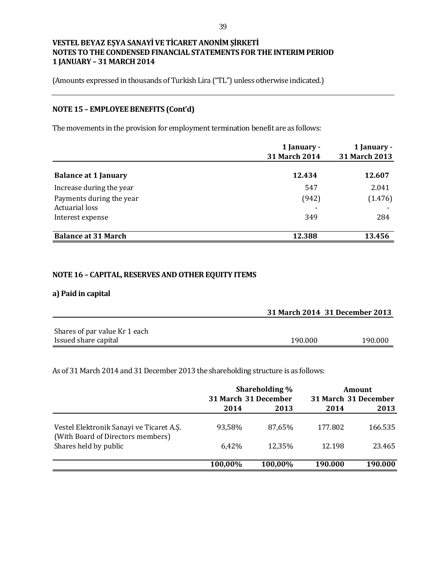(Amounts expressed in thousands of Turkish Lira ("TL") unless otherwise indicated.)

# **NOTE 15 – EMPLOYEE BENEFITS (Cont'd)**

The movements in the provision for employment termination benefit are as follows:

|                                            | 1 January -<br>31 March 2014 | 1 January -<br>31 March 2013 |
|--------------------------------------------|------------------------------|------------------------------|
| <b>Balance at 1 January</b>                | 12.434                       | 12.607                       |
| Increase during the year                   | 547                          | 2.041                        |
| Payments during the year<br>Actuarial loss | (942)                        | (1.476)                      |
| Interest expense                           | 349                          | 284                          |
| <b>Balance at 31 March</b>                 | 12.388                       | 13.456                       |

#### **NOTE 16 – CAPITAL, RESERVES AND OTHER EQUITY ITEMS**

#### **a) Paid in capital**

|                               | 31 March 2014 31 December 2013 |         |
|-------------------------------|--------------------------------|---------|
| Shares of par value Kr 1 each |                                |         |
| Issued share capital          | 190.000                        | 190.000 |

As of 31 March 2014 and 31 December 2013 the shareholding structure is as follows:

|                                                                               | 31 March 31 December | <b>Shareholding</b> % | 31 March 31 December | Amount  |
|-------------------------------------------------------------------------------|----------------------|-----------------------|----------------------|---------|
|                                                                               | 2014                 | 2013                  | 2014                 | 2013    |
| Vestel Elektronik Sanayi ve Ticaret A.S.<br>(With Board of Directors members) | 93,58%               | 87.65%                | 177.802              | 166.535 |
| Shares held by public                                                         | 6.42%                | 12,35%                | 12.198               | 23.465  |
|                                                                               | 100,00%              | 100,00%               | 190.000              | 190.000 |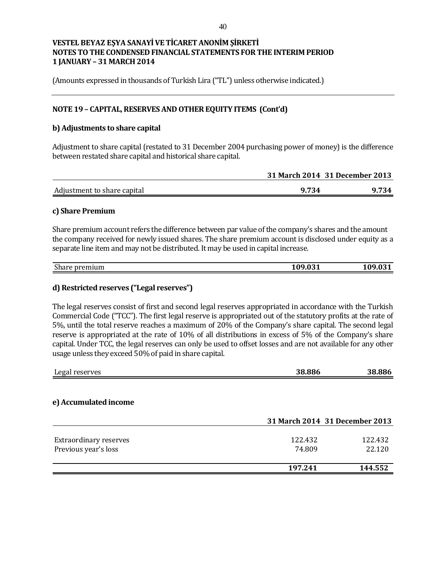(Amounts expressed in thousands of Turkish Lira ("TL") unless otherwise indicated.)

### **NOTE 19 – CAPITAL, RESERVES AND OTHER EQUITY ITEMS (Cont'd)**

#### **b) Adjustments to share capital**

Adjustment to share capital (restated to 31 December 2004 purchasing power of money) is the difference between restated share capital and historical share capital.

|                             |       | 31 March 2014 31 December 2013 |
|-----------------------------|-------|--------------------------------|
| Adjustment to share capital | 9.734 | 9.734                          |

#### **c) Share Premium**

Share premium account refers the difference between par value of the company's shares and the amount the company received for newly issued shares. The share premium account is disclosed under equity as a separate line item and may not be distributed. It may be used in capital increase.

| $\sim$<br>็ไรค<br>---<br>'IIIIUII.<br>Snaf<br>. .<br><b>U</b> | 031<br>٬ ∩∩<br>∸<br><br>_____ | Ю<br>. .<br>_____ |
|---------------------------------------------------------------|-------------------------------|-------------------|
|                                                               |                               |                   |

### **d) Restricted reserves ("Legal reserves")**

The legal reserves consist of first and second legal reserves appropriated in accordance with the Turkish Commercial Code ("TCC"). The first legal reserve is appropriated out of the statutory profits at the rate of 5%, until the total reserve reaches a maximum of 20% of the Company's share capital. The second legal reserve is appropriated at the rate of 10% of all distributions in excess of 5% of the Company's share capital. Under TCC, the legal reserves can only be used to offset losses and are not available for any other usage unless they exceed 50% of paid in share capital.

| 38.886  | 38.886                         |
|---------|--------------------------------|
|         |                                |
|         | 31 March 2014 31 December 2013 |
| 122.432 | 122.432                        |
| 74.809  | 22.120                         |
| 197.241 | 144.552                        |
|         |                                |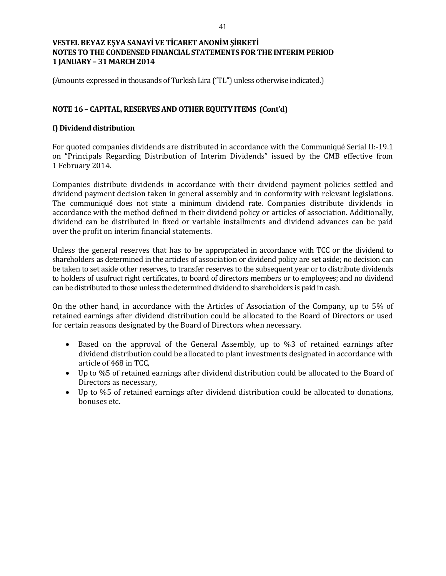(Amounts expressed in thousands of Turkish Lira ("TL") unless otherwise indicated.)

## **NOTE 16 – CAPITAL, RESERVES AND OTHER EQUITY ITEMS (Cont'd)**

## **f) Dividend distribution**

For quoted companies dividends are distributed in accordance with the Communiqué Serial II:-19.1 on "Principals Regarding Distribution of Interim Dividends" issued by the CMB effective from 1 February 2014.

Companies distribute dividends in accordance with their dividend payment policies settled and dividend payment decision taken in general assembly and in conformity with relevant legislations. The communiqué does not state a minimum dividend rate. Companies distribute dividends in accordance with the method defined in their dividend policy or articles of association. Additionally, dividend can be distributed in fixed or variable installments and dividend advances can be paid over the profit on interim financial statements.

Unless the general reserves that has to be appropriated in accordance with TCC or the dividend to shareholders as determined in the articles of association or dividend policy are set aside; no decision can be taken to set aside other reserves, to transfer reserves to the subsequent year or to distribute dividends to holders of usufruct right certificates, to board of directors members or to employees; and no dividend can be distributed to those unless the determined dividend to shareholders is paid in cash.

On the other hand, in accordance with the Articles of Association of the Company, up to 5% of retained earnings after dividend distribution could be allocated to the Board of Directors or used for certain reasons designated by the Board of Directors when necessary.

- Based on the approval of the General Assembly, up to %3 of retained earnings after dividend distribution could be allocated to plant investments designated in accordance with article of 468 in TCC,
- Up to %5 of retained earnings after dividend distribution could be allocated to the Board of Directors as necessary,
- Up to %5 of retained earnings after dividend distribution could be allocated to donations, bonuses etc.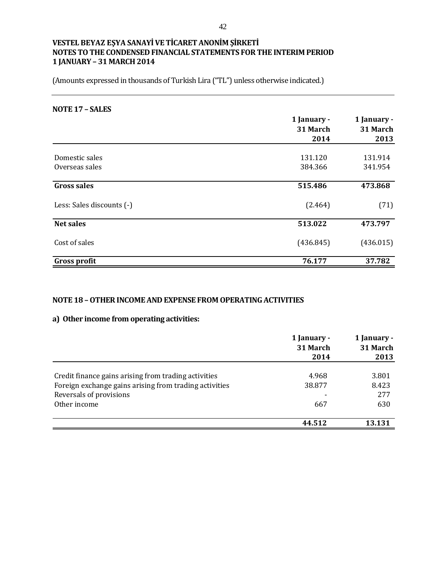(Amounts expressed in thousands of Turkish Lira ("TL") unless otherwise indicated.)

#### **NOTE 17 – SALES**

|                                  | 1 January -<br>31 March | 1 January -<br>31 March |  |
|----------------------------------|-------------------------|-------------------------|--|
|                                  | 2014                    | 2013                    |  |
| Domestic sales<br>Overseas sales | 131.120<br>384.366      | 131.914<br>341.954      |  |
| <b>Gross sales</b>               | 515.486                 | 473.868                 |  |
| Less: Sales discounts (-)        | (2.464)                 | (71)                    |  |
| <b>Net sales</b>                 | 513.022                 | 473.797                 |  |
| Cost of sales                    | (436.845)               | (436.015)               |  |
| <b>Gross profit</b>              | 76.177                  | 37.782                  |  |

#### **NOTE 18 –OTHER INCOME AND EXPENSE FROM OPERATING ACTIVITIES**

# **a) Other income from operating activities:**

|                                                                                                                | 1 January -<br>31 March<br>2014 | 1 January -<br>31 March<br>2013 |
|----------------------------------------------------------------------------------------------------------------|---------------------------------|---------------------------------|
| Credit finance gains arising from trading activities<br>Foreign exchange gains arising from trading activities | 4.968<br>38.877                 | 3.801<br>8.423                  |
| Reversals of provisions                                                                                        |                                 | 277                             |
| Other income                                                                                                   | 667                             | 630                             |
|                                                                                                                | 44.512                          | 13.131                          |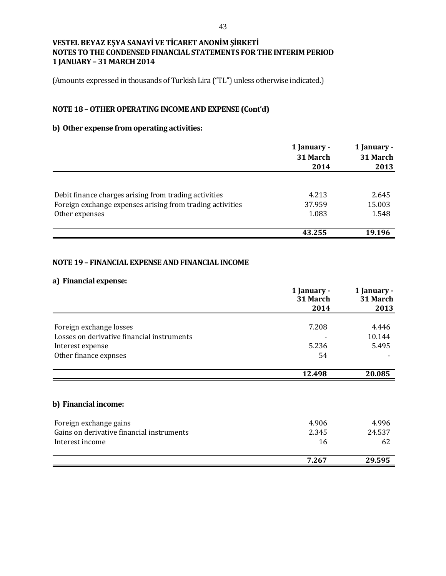(Amounts expressed in thousands of Turkish Lira ("TL") unless otherwise indicated.)

# **NOTE 18 –OTHER OPERATING INCOME AND EXPENSE (Cont'd)**

# **b) Other expense from operating activities:**

|                                                           | 1 January -<br>31 March<br>2014 | 1 January -<br>31 March<br>2013 |
|-----------------------------------------------------------|---------------------------------|---------------------------------|
| Debit finance charges arising from trading activities     | 4.213                           | 2.645                           |
| Foreign exchange expenses arising from trading activities | 37.959                          | 15.003                          |
| Other expenses                                            | 1.083                           | 1.548                           |
|                                                           | 43.255                          | 19.196                          |

## **NOTE 19 – FINANCIAL EXPENSE AND FINANCIAL INCOME**

### **a) Financial expense:**

|                                            | 1 January -<br>31 March | 1 January -<br>31 March |  |
|--------------------------------------------|-------------------------|-------------------------|--|
|                                            | 2014                    | 2013                    |  |
| Foreign exchange losses                    | 7.208                   | 4.446                   |  |
| Losses on derivative financial instruments |                         | 10.144                  |  |
| Interest expense                           | 5.236                   | 5.495                   |  |
| Other finance expnses                      | 54                      |                         |  |
|                                            | 12.498                  | 20.085                  |  |
|                                            |                         |                         |  |
| b) Financial income:                       |                         |                         |  |
| Foreign exchange gains                     | 4.906                   | 4.996                   |  |
| Gains on derivative financial instruments  | 2.345                   | 24.537                  |  |
| Interest income                            | 16                      | 62                      |  |
|                                            | 7.267                   | 29.595                  |  |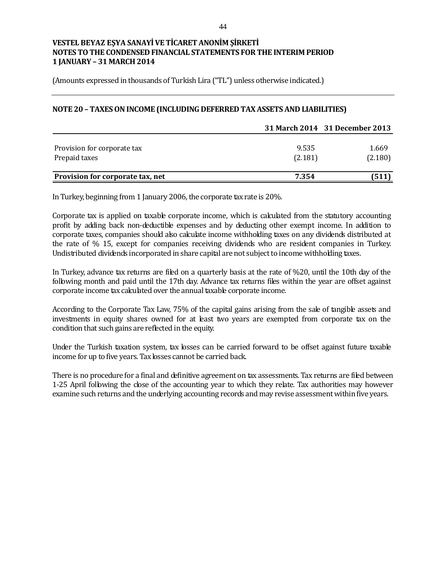(Amounts expressed in thousands of Turkish Lira ("TL") unless otherwise indicated.)

### **NOTE 20 – TAXES ON INCOME (INCLUDING DEFERRED TAX ASSETS AND LIABILITIES)**

|                                  |         | 31 March 2014 31 December 2013 |
|----------------------------------|---------|--------------------------------|
| Provision for corporate tax      | 9.535   | 1.669                          |
| Prepaid taxes                    | (2.181) | (2.180)                        |
| Provision for corporate tax, net | 7.354   | (511)                          |

In Turkey, beginning from 1 January 2006, the corporate tax rate is 20%.

Corporate tax is applied on taxable corporate income, which is calculated from the statutory accounting profit by adding back non-deductible expenses and by deducting other exempt income. In addition to corporate taxes, companies should also calculate income withholding taxes on any dividends distributed at the rate of % 15, except for companies receiving dividends who are resident companies in Turkey. Undistributed dividends incorporated in share capital are not subject to income withholding taxes.

In Turkey, advance tax returns are filed on a quarterly basis at the rate of %20, until the 10th day of the following month and paid until the 17th day. Advance tax returns files within the year are offset against corporate income tax calculated over the annual taxable corporate income.

According to the Corporate Tax Law, 75% of the capital gains arising from the sale of tangible assets and investments in equity shares owned for at least two years are exempted from corporate tax on the condition that such gains are reflected in the equity.

Under the Turkish taxation system, tax losses can be carried forward to be offset against future taxable income for up to five years. Tax losses cannot be carried back.

There is no procedure for a final and definitive agreement on tax assessments. Tax returns are filed between 1-25 April following the close of the accounting year to which they relate. Tax authorities may however examine such returns and the underlying accounting records and may revise assessment within five years.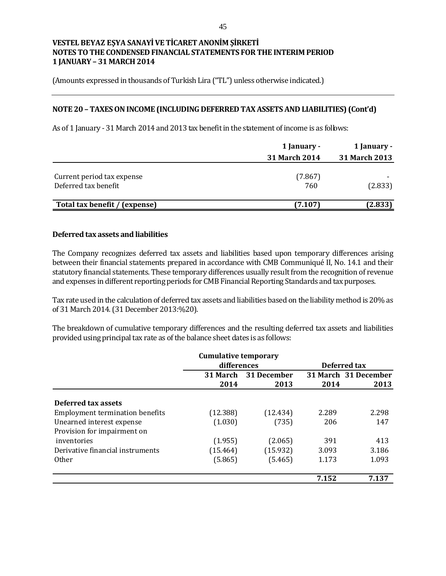(Amounts expressed in thousands of Turkish Lira ("TL") unless otherwise indicated.)

#### **NOTE 20 – TAXES ON INCOME (INCLUDING DEFERRED TAX ASSETS AND LIABILITIES) (Cont'd)**

As of 1 January - 31 March 2014 and 2013 tax benefit in the statement of income is as follows:

|                                                    | 1 January -          | 1 January -   |
|----------------------------------------------------|----------------------|---------------|
|                                                    | <b>31 March 2014</b> | 31 March 2013 |
| Current period tax expense<br>Deferred tax benefit | (7.867)<br>760       | (2.833)       |
| Total tax benefit / (expense)                      | (7.107)              | (2.833)       |

#### **Deferred tax assets and liabilities**

The Company recognizes deferred tax assets and liabilities based upon temporary differences arising between their financial statements prepared in accordance with CMB Communiqué II, No. 14.1 and their statutory financial statements. These temporary differences usually result from the recognition of revenue and expenses in different reporting periods for CMB Financial Reporting Standards and tax purposes.

Tax rate used in the calculation of deferred tax assets and liabilities based on the liability method is 20% as of 31 March 2014.(31 December 2013:%20).

The breakdown of cumulative temporary differences and the resulting deferred tax assets and liabilities provided using principal tax rate as of the balance sheet dates is as follows:

|                                        | <b>Cumulative temporary</b> |             |       |                      |
|----------------------------------------|-----------------------------|-------------|-------|----------------------|
|                                        |                             | differences |       | Deferred tax         |
|                                        | 31 March                    | 31 December |       | 31 March 31 December |
|                                        | 2014                        | 2013        | 2014  | 2013                 |
|                                        |                             |             |       |                      |
| Deferred tax assets                    |                             |             |       |                      |
| <b>Employment termination benefits</b> | (12.388)                    | (12.434)    | 2.289 | 2.298                |
| Unearned interest expense              | (1.030)                     | (735)       | 206   | 147                  |
| Provision for impairment on            |                             |             |       |                      |
| inventories                            | (1.955)                     | (2.065)     | 391   | 413                  |
| Derivative financial instruments       | (15.464)                    | (15.932)    | 3.093 | 3.186                |
| <b>Other</b>                           | (5.865)                     | (5.465)     | 1.173 | 1.093                |
|                                        |                             |             | 7.152 | 7.137                |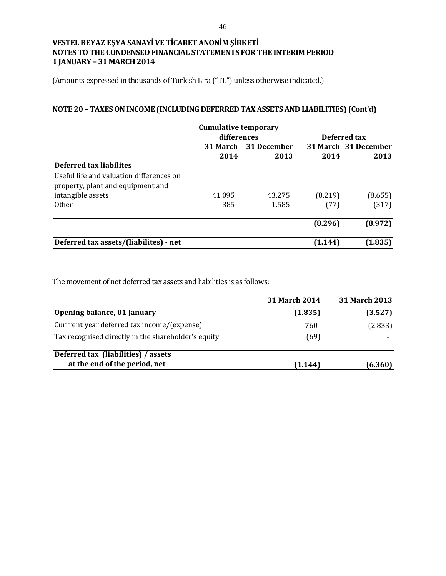(Amounts expressed in thousands of Turkish Lira ("TL") unless otherwise indicated.)

# **NOTE 20 – TAXES ON INCOME (INCLUDING DEFERRED TAX ASSETS AND LIABILITIES) (Cont'd)**

|                                          | <b>Cumulative temporary</b> |             |         |                      |  |
|------------------------------------------|-----------------------------|-------------|---------|----------------------|--|
|                                          | differences                 |             |         | Deferred tax         |  |
|                                          | <b>31 March</b>             | 31 December |         | 31 March 31 December |  |
|                                          | 2014                        | 2013        | 2014    | 2013                 |  |
| Deferred tax liabilites                  |                             |             |         |                      |  |
| Useful life and valuation differences on |                             |             |         |                      |  |
| property, plant and equipment and        |                             |             |         |                      |  |
| intangible assets                        | 41.095                      | 43.275      | (8.219) | (8.655)              |  |
| <b>Other</b>                             | 385                         | 1.585       | (77)    | (317)                |  |
|                                          |                             |             | (8.296) | (8.972)              |  |
| Deferred tax assets/(liabilites) - net   |                             |             | (1.144) | (1.835)              |  |

The movement of net deferred tax assets and liabilities is as follows:

|                                                     | <b>31 March 2014</b> | <b>31 March 2013</b> |
|-----------------------------------------------------|----------------------|----------------------|
| Opening balance, 01 January                         | (1.835)              | (3.527)              |
| Currrent year deferred tax income/(expense)         | 760                  | (2.833)              |
| Tax recognised directly in the shareholder's equity | (69)                 |                      |
| Deferred tax (liabilities) / assets                 |                      |                      |
| at the end of the period, net                       | (1.144)              | (6.360)              |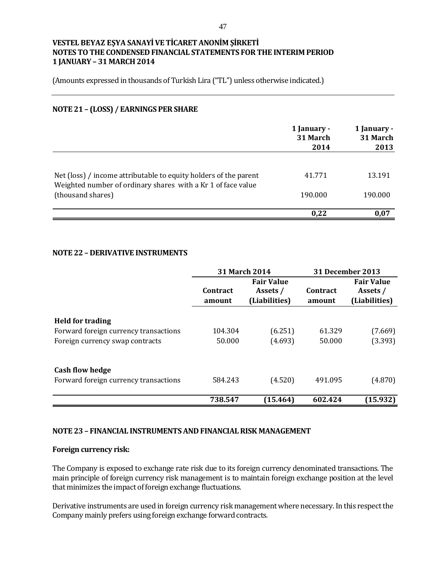(Amounts expressed in thousands of Turkish Lira ("TL") unless otherwise indicated.)

### **NOTE 21 – (LOSS) / EARNINGS PER SHARE**

|                                                                                                                                  | 1 January -<br>31 March<br>2014 | 1 January -<br>31 March<br>2013 |
|----------------------------------------------------------------------------------------------------------------------------------|---------------------------------|---------------------------------|
| Net (loss) / income attributable to equity holders of the parent<br>Weighted number of ordinary shares with a Kr 1 of face value | 41.771                          | 13.191                          |
| (thousand shares)                                                                                                                | 190.000                         | 190.000                         |
|                                                                                                                                  | 0,22                            | 0,07                            |

### **NOTE 22 – DERIVATIVE INSTRUMENTS**

|                                       | <b>31 March 2014</b> |                                                | 31 December 2013          |                                                |
|---------------------------------------|----------------------|------------------------------------------------|---------------------------|------------------------------------------------|
|                                       | Contract<br>amount   | <b>Fair Value</b><br>Assets /<br>(Liabilities) | <b>Contract</b><br>amount | <b>Fair Value</b><br>Assets /<br>(Liabilities) |
| <b>Held for trading</b>               |                      |                                                |                           |                                                |
| Forward foreign currency transactions | 104.304              | (6.251)                                        | 61.329                    | (7.669)                                        |
| Foreign currency swap contracts       | 50.000               | (4.693)                                        | 50.000                    | (3.393)                                        |
| <b>Cash flow hedge</b>                |                      |                                                |                           |                                                |
| Forward foreign currency transactions | 584.243              | (4.520)                                        | 491.095                   | (4.870)                                        |
|                                       | 738.547              | (15.464)                                       | 602.424                   | (15.932)                                       |

### **NOTE 23 – FINANCIAL INSTRUMENTS AND FINANCIAL RISK MANAGEMENT**

#### **Foreign currency risk:**

The Company is exposed to exchange rate risk due to its foreign currency denominated transactions. The main principle of foreign currency risk management is to maintain foreign exchange position at the level that minimizes the impact of foreign exchange fluctuations.

Derivative instruments are used in foreign currency risk management where necessary. In this respect the Company mainly prefers using foreign exchange forward contracts.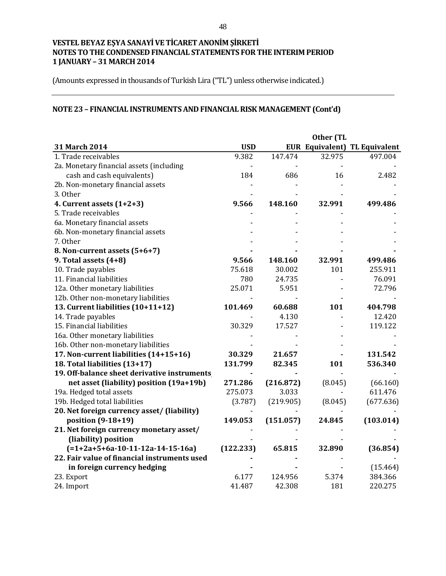(Amounts expressed in thousands of Turkish Lira ("TL") unless otherwise indicated.)

# **NOTE 23 – FINANCIAL INSTRUMENTS AND FINANCIAL RISK MANAGEMENT (Cont'd)**

|                                              |            |           | Other (TL |                                      |
|----------------------------------------------|------------|-----------|-----------|--------------------------------------|
| 31 March 2014                                | <b>USD</b> |           |           | <b>EUR Equivalent) TL Equivalent</b> |
| 1. Trade receivables                         | 9.382      | 147.474   | 32.975    | 497.004                              |
| 2a. Monetary financial assets (including     |            |           |           |                                      |
| cash and cash equivalents)                   | 184        | 686       | 16        | 2.482                                |
| 2b. Non-monetary financial assets            |            |           |           |                                      |
| 3. Other                                     |            |           |           |                                      |
| 4. Current assets $(1+2+3)$                  | 9.566      | 148.160   | 32.991    | 499.486                              |
| 5. Trade receivables                         |            |           |           |                                      |
| 6a. Monetary financial assets                |            |           |           |                                      |
| 6b. Non-monetary financial assets            |            |           |           |                                      |
| 7. Other                                     |            |           |           |                                      |
| 8. Non-current assets (5+6+7)                |            |           |           |                                      |
| 9. Total assets $(4+8)$                      | 9.566      | 148.160   | 32.991    | 499.486                              |
| 10. Trade payables                           | 75.618     | 30.002    | 101       | 255.911                              |
| 11. Financial liabilities                    | 780        | 24.735    |           | 76.091                               |
| 12a. Other monetary liabilities              | 25.071     | 5.951     |           | 72.796                               |
| 12b. Other non-monetary liabilities          |            |           |           |                                      |
| 13. Current liabilities (10+11+12)           | 101.469    | 60.688    | 101       | 404.798                              |
| 14. Trade payables                           |            | 4.130     |           | 12.420                               |
| 15. Financial liabilities                    | 30.329     | 17.527    |           | 119.122                              |
| 16a. Other monetary liabilities              |            |           |           |                                      |
| 16b. Other non-monetary liabilities          |            |           |           |                                      |
| 17. Non-current liabilities (14+15+16)       | 30.329     | 21.657    |           | 131.542                              |
| 18. Total liabilities (13+17)                | 131.799    | 82.345    | 101       | 536.340                              |
| 19. Off-balance sheet derivative instruments |            |           |           |                                      |
| net asset (liability) position (19a+19b)     | 271.286    | (216.872) | (8.045)   | (66.160)                             |
| 19a. Hedged total assets                     | 275.073    | 3.033     |           | 611.476                              |
| 19b. Hedged total liabilities                | (3.787)    | (219.905) | (8.045)   | (677.636)                            |
| 20. Net foreign currency asset/ (liability)  |            |           |           |                                      |
| position (9-18+19)                           | 149.053    | (151.057) | 24.845    | (103.014)                            |
| 21. Net foreign currency monetary asset/     |            |           |           |                                      |
| (liability) position                         |            |           |           |                                      |
| $(=1+2a+5+6a-10-11-12a-14-15-16a)$           | (122.233)  | 65.815    | 32.890    | (36.854)                             |
| 22. Fair value of financial instruments used |            |           |           |                                      |
| in foreign currency hedging                  |            |           |           | (15.464)                             |
| 23. Export                                   | 6.177      | 124.956   | 5.374     | 384.366                              |
| 24. Import                                   | 41.487     | 42.308    | 181       | 220.275                              |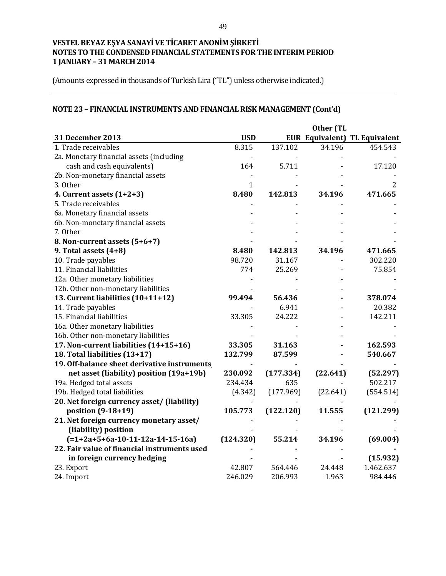(Amounts expressed in thousands of Turkish Lira ("TL") unless otherwise indicated.)

# **NOTE 23 – FINANCIAL INSTRUMENTS AND FINANCIAL RISK MANAGEMENT (Cont'd)**

|                                              |            |           | Other (TL |                                      |
|----------------------------------------------|------------|-----------|-----------|--------------------------------------|
| <b>31 December 2013</b>                      | <b>USD</b> |           |           | <b>EUR Equivalent) TL Equivalent</b> |
| 1. Trade receivables                         | 8.315      | 137.102   | 34.196    | 454.543                              |
| 2a. Monetary financial assets (including     |            |           |           |                                      |
| cash and cash equivalents)                   | 164        | 5.711     |           | 17.120                               |
| 2b. Non-monetary financial assets            |            |           |           |                                      |
| 3. Other                                     | 1          |           |           | $\overline{2}$                       |
| 4. Current assets $(1+2+3)$                  | 8.480      | 142.813   | 34.196    | 471.665                              |
| 5. Trade receivables                         |            |           |           |                                      |
| 6a. Monetary financial assets                |            |           |           |                                      |
| 6b. Non-monetary financial assets            |            |           |           |                                      |
| 7. Other                                     |            |           |           |                                      |
| 8. Non-current assets (5+6+7)                |            |           |           |                                      |
| 9. Total assets (4+8)                        | 8.480      | 142.813   | 34.196    | 471.665                              |
| 10. Trade payables                           | 98.720     | 31.167    |           | 302.220                              |
| 11. Financial liabilities                    | 774        | 25.269    |           | 75.854                               |
| 12a. Other monetary liabilities              |            |           |           |                                      |
| 12b. Other non-monetary liabilities          |            |           |           |                                      |
| 13. Current liabilities (10+11+12)           | 99.494     | 56.436    |           | 378.074                              |
| 14. Trade payables                           |            | 6.941     |           | 20.382                               |
| 15. Financial liabilities                    | 33.305     | 24.222    |           | 142.211                              |
| 16a. Other monetary liabilities              |            |           |           |                                      |
| 16b. Other non-monetary liabilities          |            |           |           |                                      |
| 17. Non-current liabilities (14+15+16)       | 33.305     | 31.163    |           | 162.593                              |
| 18. Total liabilities (13+17)                | 132.799    | 87.599    |           | 540.667                              |
| 19. Off-balance sheet derivative instruments |            |           |           |                                      |
| net asset (liability) position (19a+19b)     | 230.092    | (177.334) | (22.641)  | (52.297)                             |
| 19a. Hedged total assets                     | 234.434    | 635       |           | 502.217                              |
| 19b. Hedged total liabilities                | (4.342)    | (177.969) | (22.641)  | (554.514)                            |
| 20. Net foreign currency asset/ (liability)  |            |           |           |                                      |
| position (9-18+19)                           | 105.773    | (122.120) | 11.555    | (121.299)                            |
| 21. Net foreign currency monetary asset/     |            |           |           |                                      |
| (liability) position                         |            |           |           |                                      |
| $(=1+2a+5+6a-10-11-12a-14-15-16a)$           | (124.320)  | 55.214    | 34.196    | (69.004)                             |
| 22. Fair value of financial instruments used |            |           |           |                                      |
| in foreign currency hedging                  |            |           |           | (15.932)                             |
| 23. Export                                   | 42.807     | 564.446   | 24.448    | 1.462.637                            |
| 24. Import                                   | 246.029    | 206.993   | 1.963     | 984.446                              |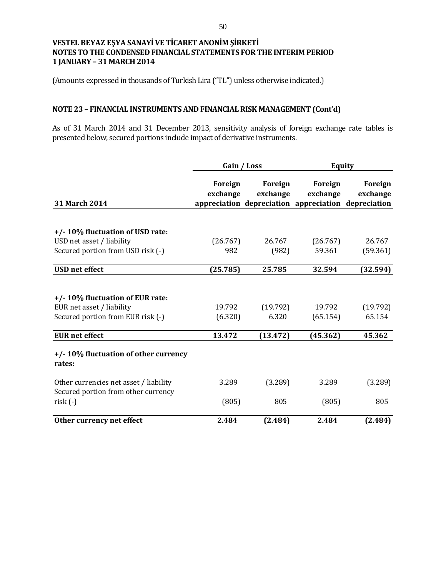(Amounts expressed in thousands of Turkish Lira ("TL") unless otherwise indicated.)

## **NOTE 23 – FINANCIAL INSTRUMENTS AND FINANCIAL RISK MANAGEMENT (Cont'd)**

As of 31 March 2014 and 31 December 2013, sensitivity analysis of foreign exchange rate tables is presented below, secured portions include impact of derivative instruments.

|                                                                                                   | Gain / Loss         |                     | <b>Equity</b>                                                              |                     |
|---------------------------------------------------------------------------------------------------|---------------------|---------------------|----------------------------------------------------------------------------|---------------------|
| 31 March 2014                                                                                     | Foreign<br>exchange | Foreign<br>exchange | Foreign<br>exchange<br>appreciation depreciation appreciation depreciation | Foreign<br>exchange |
|                                                                                                   |                     |                     |                                                                            |                     |
| +/-10% fluctuation of USD rate:                                                                   |                     | 26.767              |                                                                            | 26.767              |
| USD net asset / liability<br>Secured portion from USD risk (-)                                    | (26.767)<br>982     | (982)               | (26.767)<br>59.361                                                         | (59.361)            |
|                                                                                                   |                     |                     |                                                                            |                     |
| <b>USD</b> net effect                                                                             | (25.785)            | 25.785              | 32.594                                                                     | (32.594)            |
| +/-10% fluctuation of EUR rate:<br>EUR net asset / liability<br>Secured portion from EUR risk (-) | 19.792<br>(6.320)   | (19.792)<br>6.320   | 19.792<br>(65.154)                                                         | (19.792)<br>65.154  |
| <b>EUR</b> net effect                                                                             | 13.472              | (13.472)            | (45.362)                                                                   | 45.362              |
| +/-10% fluctuation of other currency<br>rates:                                                    |                     |                     |                                                                            |                     |
| Other currencies net asset / liability<br>Secured portion from other currency                     | 3.289               | (3.289)             | 3.289                                                                      | (3.289)             |
| $risk(-)$                                                                                         | (805)               | 805                 | (805)                                                                      | 805                 |
| Other currency net effect                                                                         | 2.484               | (2.484)             | 2.484                                                                      | (2.484)             |